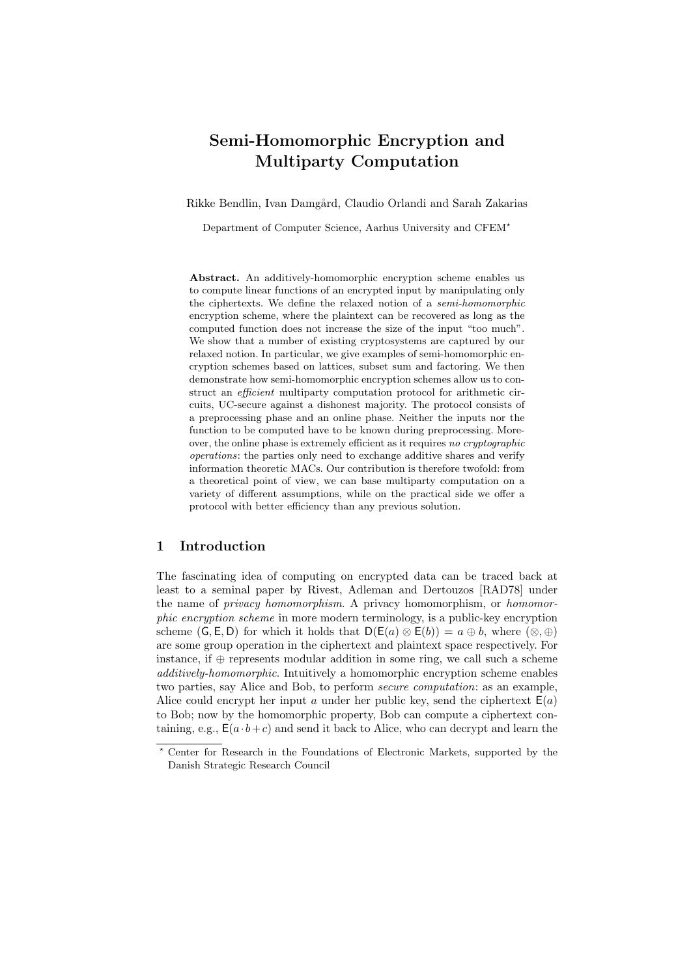# **Semi-Homomorphic Encryption and Multiparty Computation**

Rikke Bendlin, Ivan Damgård, Claudio Orlandi and Sarah Zakarias

Department of Computer Science, Aarhus University and CFEM*<sup>⋆</sup>*

**Abstract.** An additively-homomorphic encryption scheme enables us to compute linear functions of an encrypted input by manipulating only the ciphertexts. We define the relaxed notion of a *semi-homomorphic* encryption scheme, where the plaintext can be recovered as long as the computed function does not increase the size of the input "too much". We show that a number of existing cryptosystems are captured by our relaxed notion. In particular, we give examples of semi-homomorphic encryption schemes based on lattices, subset sum and factoring. We then demonstrate how semi-homomorphic encryption schemes allow us to construct an *efficient* multiparty computation protocol for arithmetic circuits, UC-secure against a dishonest majority. The protocol consists of a preprocessing phase and an online phase. Neither the inputs nor the function to be computed have to be known during preprocessing. Moreover, the online phase is extremely efficient as it requires *no cryptographic operations*: the parties only need to exchange additive shares and verify information theoretic MACs. Our contribution is therefore twofold: from a theoretical point of view, we can base multiparty computation on a variety of different assumptions, while on the practical side we offer a protocol with better efficiency than any previous solution.

# **1 Introduction**

The fascinating idea of computing on encrypted data can be traced back at least to a seminal paper by Rivest, Adleman and Dertouzos [RAD78] under the name of *privacy homomorphism*. A privacy homomorphism, or *homomorphic encryption scheme* in more modern terminology, is a public-key encryption scheme (G, E, D) for which it holds that  $D(E(a) \otimes E(b)) = a \oplus b$ , where  $(\otimes, \oplus)$ are some group operation in the ciphertext and plaintext space respectively. For instance, if *⊕* represents modular addition in some ring, we call such a scheme *additively-homomorphic*. Intuitively a homomorphic encryption scheme enables two parties, say Alice and Bob, to perform *secure computation*: as an example, Alice could encrypt her input *a* under her public key, send the ciphertext E(*a*) to Bob; now by the homomorphic property, Bob can compute a ciphertext containing, e.g.,  $E(a \cdot b + c)$  and send it back to Alice, who can decrypt and learn the

*<sup>⋆</sup>* Center for Research in the Foundations of Electronic Markets, supported by the Danish Strategic Research Council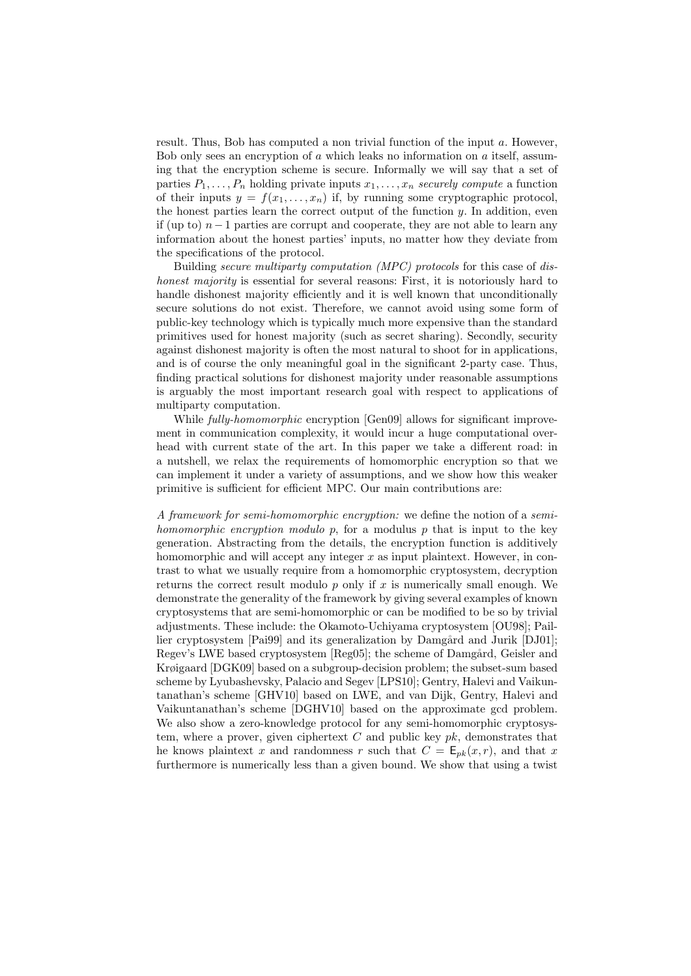result. Thus, Bob has computed a non trivial function of the input *a*. However, Bob only sees an encryption of *a* which leaks no information on *a* itself, assuming that the encryption scheme is secure. Informally we will say that a set of parties  $P_1, \ldots, P_n$  holding private inputs  $x_1, \ldots, x_n$  *securely compute* a function of their inputs  $y = f(x_1, \ldots, x_n)$  if, by running some cryptographic protocol, the honest parties learn the correct output of the function *y*. In addition, even if (up to) *n−*1 parties are corrupt and cooperate, they are not able to learn any information about the honest parties' inputs, no matter how they deviate from the specifications of the protocol.

Building *secure multiparty computation (MPC) protocols* for this case of *dishonest majority* is essential for several reasons: First, it is notoriously hard to handle dishonest majority efficiently and it is well known that unconditionally secure solutions do not exist. Therefore, we cannot avoid using some form of public-key technology which is typically much more expensive than the standard primitives used for honest majority (such as secret sharing). Secondly, security against dishonest majority is often the most natural to shoot for in applications, and is of course the only meaningful goal in the significant 2-party case. Thus, finding practical solutions for dishonest majority under reasonable assumptions is arguably the most important research goal with respect to applications of multiparty computation.

While *fully-homomorphic* encryption [Gen09] allows for significant improvement in communication complexity, it would incur a huge computational overhead with current state of the art. In this paper we take a different road: in a nutshell, we relax the requirements of homomorphic encryption so that we can implement it under a variety of assumptions, and we show how this weaker primitive is sufficient for efficient MPC. Our main contributions are:

*A framework for semi-homomorphic encryption:* we define the notion of a *semihomomorphic encryption modulo p*, for a modulus *p* that is input to the key generation. Abstracting from the details, the encryption function is additively homomorphic and will accept any integer x as input plaintext. However, in contrast to what we usually require from a homomorphic cryptosystem, decryption returns the correct result modulo *p* only if *x* is numerically small enough. We demonstrate the generality of the framework by giving several examples of known cryptosystems that are semi-homomorphic or can be modified to be so by trivial adjustments. These include: the Okamoto-Uchiyama cryptosystem [OU98]; Paillier cryptosystem [Pai99] and its generalization by Damgård and Jurik [DJ01]; Regev's LWE based cryptosystem [Reg05]; the scheme of Damgård, Geisler and Krøigaard [DGK09] based on a subgroup-decision problem; the subset-sum based scheme by Lyubashevsky, Palacio and Segev [LPS10]; Gentry, Halevi and Vaikuntanathan's scheme [GHV10] based on LWE, and van Dijk, Gentry, Halevi and Vaikuntanathan's scheme [DGHV10] based on the approximate gcd problem. We also show a zero-knowledge protocol for any semi-homomorphic cryptosystem, where a prover, given ciphertext *C* and public key *pk*, demonstrates that he knows plaintext *x* and randomness *r* such that  $C = \mathsf{E}_{pk}(x,r)$ , and that *x* furthermore is numerically less than a given bound. We show that using a twist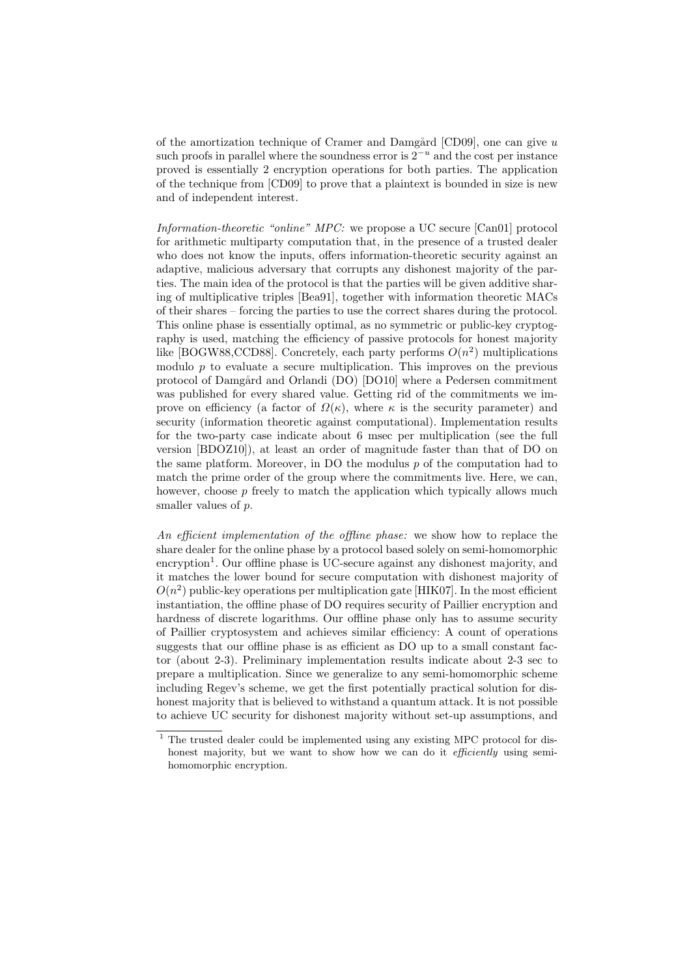of the amortization technique of Cramer and Damg˚ard [CD09], one can give *u* such proofs in parallel where the soundness error is 2*−<sup>u</sup>* and the cost per instance proved is essentially 2 encryption operations for both parties. The application of the technique from [CD09] to prove that a plaintext is bounded in size is new and of independent interest.

*Information-theoretic "online" MPC:* we propose a UC secure [Can01] protocol for arithmetic multiparty computation that, in the presence of a trusted dealer who does not know the inputs, offers information-theoretic security against an adaptive, malicious adversary that corrupts any dishonest majority of the parties. The main idea of the protocol is that the parties will be given additive sharing of multiplicative triples [Bea91], together with information theoretic MACs of their shares – forcing the parties to use the correct shares during the protocol. This online phase is essentially optimal, as no symmetric or public-key cryptography is used, matching the efficiency of passive protocols for honest majority like [BOGW88,CCD88]. Concretely, each party performs  $O(n^2)$  multiplications modulo *p* to evaluate a secure multiplication. This improves on the previous protocol of Damgård and Orlandi (DO) [DO10] where a Pedersen commitment was published for every shared value. Getting rid of the commitments we improve on efficiency (a factor of  $\Omega(\kappa)$ , where  $\kappa$  is the security parameter) and security (information theoretic against computational). Implementation results for the two-party case indicate about 6 msec per multiplication (see the full version [BDOZ10]), at least an order of magnitude faster than that of DO on the same platform. Moreover, in DO the modulus *p* of the computation had to match the prime order of the group where the commitments live. Here, we can, however, choose *p* freely to match the application which typically allows much smaller values of *p*.

*An efficient implementation of the offline phase:* we show how to replace the share dealer for the online phase by a protocol based solely on semi-homomorphic encryption<sup>1</sup>. Our offline phase is UC-secure against any dishonest majority, and it matches the lower bound for secure computation with dishonest majority of  $O(n^2)$  public-key operations per multiplication gate [HIK07]. In the most efficient instantiation, the offline phase of DO requires security of Paillier encryption and hardness of discrete logarithms. Our offline phase only has to assume security of Paillier cryptosystem and achieves similar efficiency: A count of operations suggests that our offline phase is as efficient as DO up to a small constant factor (about 2-3). Preliminary implementation results indicate about 2-3 sec to prepare a multiplication. Since we generalize to any semi-homomorphic scheme including Regev's scheme, we get the first potentially practical solution for dishonest majority that is believed to withstand a quantum attack. It is not possible to achieve UC security for dishonest majority without set-up assumptions, and

<sup>&</sup>lt;sup>1</sup> The trusted dealer could be implemented using any existing MPC protocol for dishonest majority, but we want to show how we can do it *efficiently* using semihomomorphic encryption.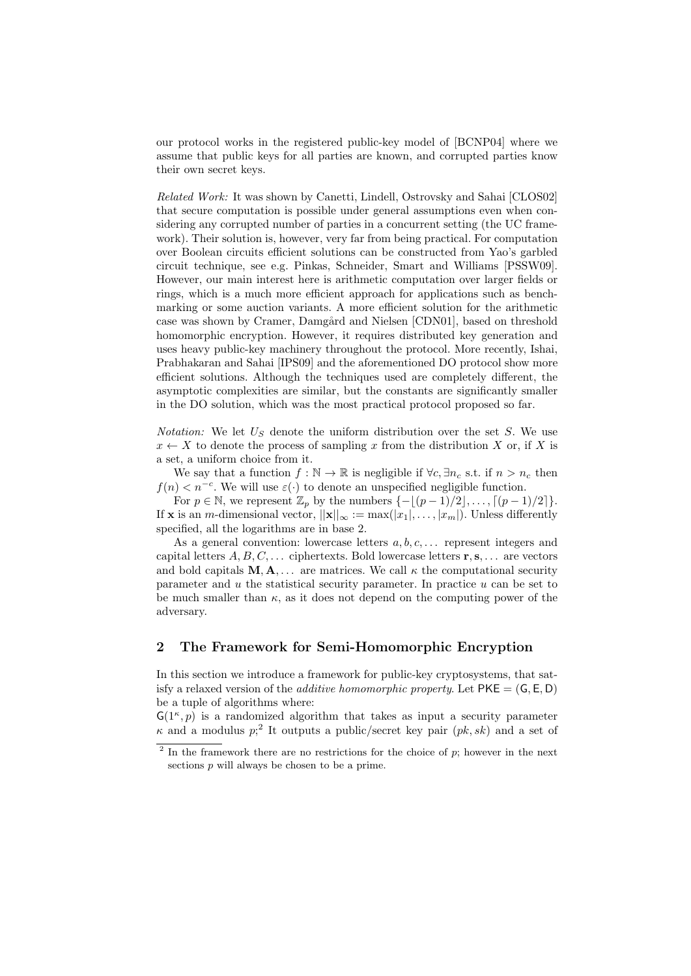our protocol works in the registered public-key model of [BCNP04] where we assume that public keys for all parties are known, and corrupted parties know their own secret keys.

*Related Work:* It was shown by Canetti, Lindell, Ostrovsky and Sahai [CLOS02] that secure computation is possible under general assumptions even when considering any corrupted number of parties in a concurrent setting (the UC framework). Their solution is, however, very far from being practical. For computation over Boolean circuits efficient solutions can be constructed from Yao's garbled circuit technique, see e.g. Pinkas, Schneider, Smart and Williams [PSSW09]. However, our main interest here is arithmetic computation over larger fields or rings, which is a much more efficient approach for applications such as benchmarking or some auction variants. A more efficient solution for the arithmetic case was shown by Cramer, Damgård and Nielsen [CDN01], based on threshold homomorphic encryption. However, it requires distributed key generation and uses heavy public-key machinery throughout the protocol. More recently, Ishai, Prabhakaran and Sahai [IPS09] and the aforementioned DO protocol show more efficient solutions. Although the techniques used are completely different, the asymptotic complexities are similar, but the constants are significantly smaller in the DO solution, which was the most practical protocol proposed so far.

*Notation:* We let *U<sup>S</sup>* denote the uniform distribution over the set *S*. We use  $x \leftarrow X$  to denote the process of sampling *x* from the distribution *X* or, if *X* is a set, a uniform choice from it.

We say that a function  $f : \mathbb{N} \to \mathbb{R}$  is negligible if  $\forall c, \exists n_c \text{ s.t. if } n > n_c \text{ then}$  $f(n) < n^{-c}$ . We will use  $\varepsilon(\cdot)$  to denote an unspecified negligible function.

For  $p \in \mathbb{N}$ , we represent  $\mathbb{Z}_p$  by the numbers  $\{-\lfloor (p-1)/2 \rfloor, \ldots, \lceil (p-1)/2 \rceil\}.$ If **x** is an *m*-dimensional vector,  $||\mathbf{x}||_{\infty} := \max(|x_1|, \ldots, |x_m|)$ . Unless differently specified, all the logarithms are in base 2.

As a general convention: lowercase letters *a, b, c, . . .* represent integers and capital letters *A, B, C, . . .* ciphertexts. Bold lowercase letters **r***,* **s***, . . .* are vectors and bold capitals  $M, A, \ldots$  are matrices. We call  $\kappa$  the computational security parameter and *u* the statistical security parameter. In practice *u* can be set to be much smaller than  $\kappa$ , as it does not depend on the computing power of the adversary.

## **2 The Framework for Semi-Homomorphic Encryption**

In this section we introduce a framework for public-key cryptosystems, that satisfy a relaxed version of the *additive homomorphic property*. Let PKE = (G*,* E*,* D) be a tuple of algorithms where:

 $G(1^{\kappa}, p)$  is a randomized algorithm that takes as input a security parameter  $\kappa$  and a modulus  $p$ <sup>2</sup>, It outputs a public/secret key pair  $(pk, sk)$  and a set of

<sup>2</sup> In the framework there are no restrictions for the choice of *p*; however in the next sections *p* will always be chosen to be a prime.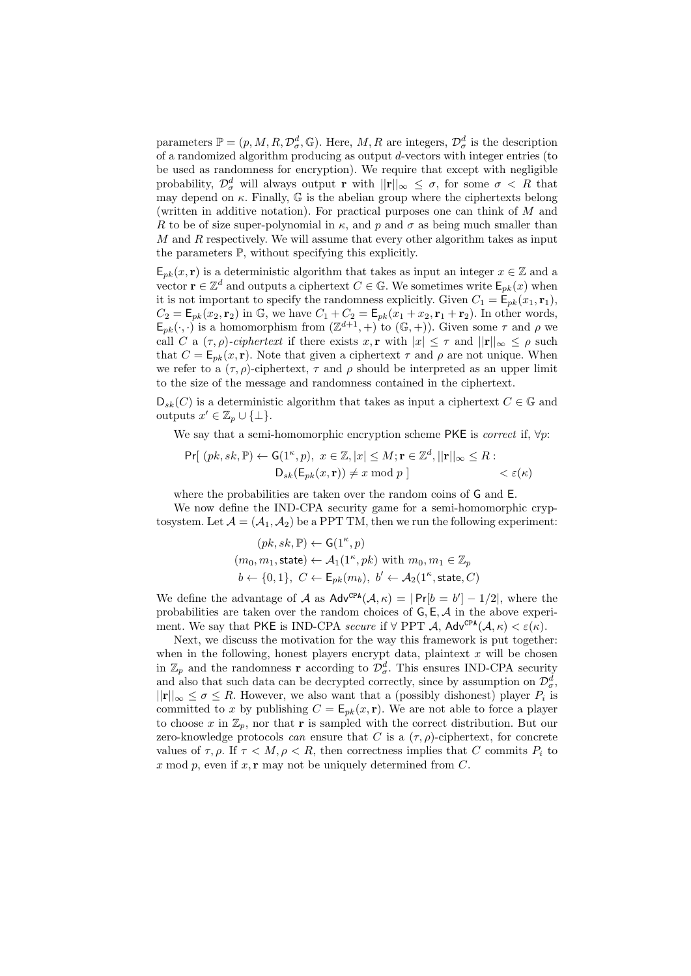parameters  $\mathbb{P} = (p, M, R, \mathcal{D}_{\sigma}^d, \mathbb{G})$ . Here,  $M, R$  are integers,  $\mathcal{D}_{\sigma}^d$  is the description of a randomized algorithm producing as output *d*-vectors with integer entries (to be used as randomness for encryption). We require that except with negligible probability,  $\mathcal{D}^d_\sigma$  will always output **r** with  $||\mathbf{r}||_{\infty} \leq \sigma$ , for some  $\sigma < R$  that may depend on  $\kappa$ . Finally,  $\mathbb G$  is the abelian group where the ciphertexts belong (written in additive notation). For practical purposes one can think of *M* and *R* to be of size super-polynomial in  $\kappa$ , and  $p$  and  $\sigma$  as being much smaller than *M* and *R* respectively. We will assume that every other algorithm takes as input the parameters P, without specifying this explicitly.

 $\mathsf{E}_{pk}(x, \mathbf{r})$  is a deterministic algorithm that takes as input an integer  $x \in \mathbb{Z}$  and a vector  $\mathbf{r} \in \mathbb{Z}^d$  and outputs a ciphertext  $C \in \mathbb{G}$ . We sometimes write  $\mathsf{E}_{pk}(x)$  when it is not important to specify the randomness explicitly. Given  $C_1 = \mathsf{E}_{pk}(x_1, \mathbf{r}_1)$ ,  $C_2 = \mathsf{E}_{pk}(x_2, \mathbf{r}_2)$  in G, we have  $C_1 + C_2 = \mathsf{E}_{pk}(x_1 + x_2, \mathbf{r}_1 + \mathbf{r}_2)$ . In other words,  $\mathsf{E}_{pk}(\cdot,\cdot)$  is a homomorphism from  $(\mathbb{Z}^{d+1},+)$  to  $(\mathbb{G},+)$ ). Given some  $\tau$  and  $\rho$  we call *C* a  $(\tau, \rho)$ -ciphertext if there exists *x*, **r** with  $|x| \leq \tau$  and  $||\mathbf{r}||_{\infty} \leq \rho$  such that  $C = \mathsf{E}_{pk}(x, \mathbf{r})$ . Note that given a ciphertext  $\tau$  and  $\rho$  are not unique. When we refer to a  $(\tau, \rho)$ -ciphertext,  $\tau$  and  $\rho$  should be interpreted as an upper limit to the size of the message and randomness contained in the ciphertext.

 $D_{sk}(C)$  is a deterministic algorithm that takes as input a ciphertext  $C \in \mathbb{G}$  and  $\text{outputs } x' \in \mathbb{Z}_p \cup \{\perp\}.$ 

We say that a semi-homomorphic encryption scheme PKE is *correct* if, *∀p*:

$$
\Pr[\ (pk, sk, \mathbb{P}) \leftarrow G(1^{\kappa}, p), \ x \in \mathbb{Z}, |x| \le M; \mathbf{r} \in \mathbb{Z}^d, ||\mathbf{r}||_{\infty} \le R : \\ \mathbf{D}_{sk}(\mathsf{E}_{pk}(x, \mathbf{r})) \neq x \bmod p \ ] < \varepsilon(\kappa)
$$

where the probabilities are taken over the random coins of G and E.

We now define the IND-CPA security game for a semi-homomorphic cryptosystem. Let  $A = (A_1, A_2)$  be a PPT TM, then we run the following experiment:

$$
(pk, sk, \mathbb{P}) \leftarrow G(1^{\kappa}, p)
$$
  
\n
$$
(m_0, m_1, \text{state}) \leftarrow A_1(1^{\kappa}, pk) \text{ with } m_0, m_1 \in \mathbb{Z}_p
$$
  
\n
$$
b \leftarrow \{0, 1\}, C \leftarrow \mathsf{E}_{pk}(m_b), b' \leftarrow A_2(1^{\kappa}, \text{state}, C)
$$

We define the advantage of *A* as  $\mathsf{Adv}^{\mathsf{CPA}}(\mathcal{A}, \kappa) = |\mathsf{Pr}[b = b'] - 1/2|$ , where the probabilities are taken over the random choices of G*,* E*, A* in the above experiment. We say that PKE is IND-CPA *secure* if  $\forall$  PPT *A*,  $Adv^{CPA}(A, \kappa) < \varepsilon(\kappa)$ .

Next, we discuss the motivation for the way this framework is put together: when in the following, honest players encrypt data, plaintext  $x$  will be chosen in  $\mathbb{Z}_p$  and the randomness **r** according to  $\mathcal{D}^d_\sigma$ . This ensures IND-CPA security and also that such data can be decrypted correctly, since by assumption on  $\mathcal{D}^d_{\sigma}$ ,  $||\mathbf{r}||_{\infty} \leq \sigma \leq R$ . However, we also want that a (possibly dishonest) player  $P_i$  is committed to *x* by publishing  $C = \mathsf{E}_{pk}(x, \mathbf{r})$ . We are not able to force a player to choose x in  $\mathbb{Z}_p$ , nor that **r** is sampled with the correct distribution. But our zero-knowledge protocols *can* ensure that *C* is a  $(\tau, \rho)$ -ciphertext, for concrete values of  $\tau$ ,  $\rho$ . If  $\tau < M$ ,  $\rho < R$ , then correctness implies that *C* commits  $P_i$  to  $x \mod p$ , even if  $x, r \mod p$  not be uniquely determined from  $C$ .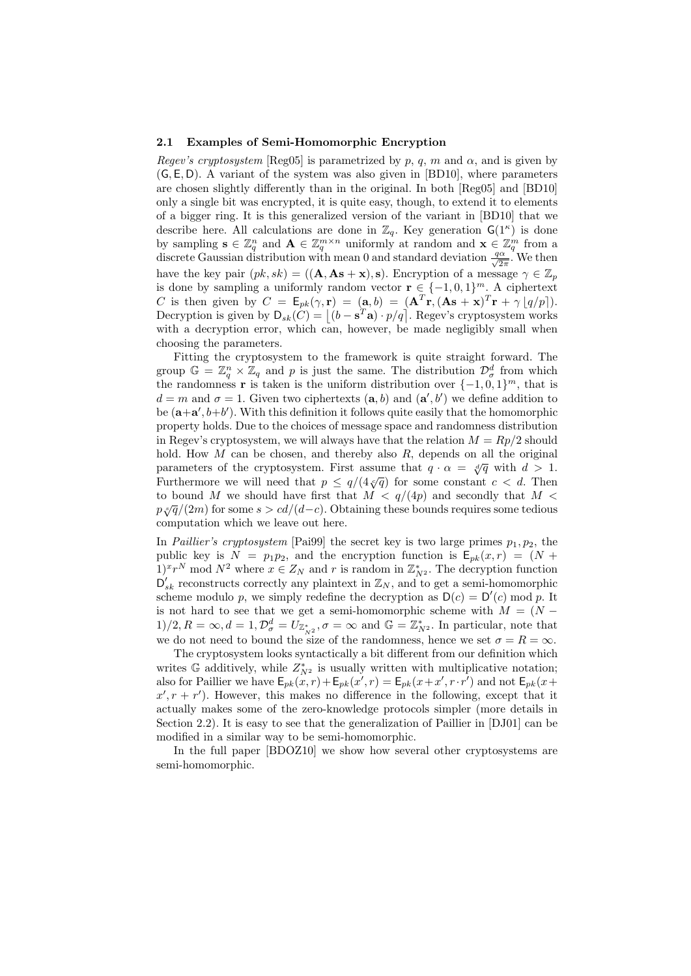#### **2.1 Examples of Semi-Homomorphic Encryption**

*Regev's cryptosystem* [Reg05] is parametrized by  $p$ ,  $q$ ,  $m$  and  $\alpha$ , and is given by (G*,* E*,* D). A variant of the system was also given in [BD10], where parameters are chosen slightly differently than in the original. In both [Reg05] and [BD10] only a single bit was encrypted, it is quite easy, though, to extend it to elements of a bigger ring. It is this generalized version of the variant in [BD10] that we describe here. All calculations are done in  $\mathbb{Z}_q$ . Key generation  $G(1^{\kappa})$  is done by sampling  $\mathbf{s} \in \mathbb{Z}_q^n$  and  $\mathbf{A} \in \mathbb{Z}_q^{m \times n}$  uniformly at random and  $\mathbf{x} \in \mathbb{Z}_q^m$  from a discrete Gaussian distribution with mean 0 and standard deviation  $\frac{q\alpha}{\sqrt{2\pi}}$ . We then have the key pair  $(pk, sk) = ((\mathbf{A}, \mathbf{As} + \mathbf{x}), \mathbf{s})$ . Encryption of a message  $\gamma \in \mathbb{Z}_p$ is done by sampling a uniformly random vector  $\mathbf{r} \in \{-1,0,1\}^m$ . A ciphertext *C* is then given by  $C = \mathsf{E}_{pk}(\gamma, \mathbf{r}) = (\mathbf{a}, b) = (\mathbf{A}^T \mathbf{r}, (\mathbf{A}\mathbf{s} + \mathbf{x})^T \mathbf{r} + \gamma \left[ q/p \right].$ Decryption is given by  $D_{sk}(\hat{C}) = |(b - s^T \mathbf{a}) \cdot p/q|$ . Regev's cryptosystem works with a decryption error, which can, however, be made negligibly small when choosing the parameters.

Fitting the cryptosystem to the framework is quite straight forward. The group  $\mathbb{G} = \mathbb{Z}_q^n \times \mathbb{Z}_q$  and *p* is just the same. The distribution  $\mathcal{D}^d_\sigma$  from which the randomness **r** is taken is the uniform distribution over  $\{-1, 0, 1\}^m$ , that is  $d = m$  and  $\sigma = 1$ . Given two ciphertexts  $(a, b)$  and  $(a', b')$  we define addition to be  $(a+a', b+b')$ . With this definition it follows quite easily that the homomorphic property holds. Due to the choices of message space and randomness distribution in Regev's cryptosystem, we will always have that the relation  $M = Rp/2$  should hold. How *M* can be chosen, and thereby also *R*, depends on all the original parameters of the cryptosystem. First assume that  $q \cdot \alpha = \sqrt[d]{q}$  with  $d > 1$ . Furthermore we will need that  $p \le q/(4\sqrt[q]{q})$  for some constant  $c < d$ . Then to bound *M* we should have first that  $M < q/(4p)$  and secondly that  $M <$  $p \sqrt[q]{q}/(2m)$  for some  $s > cd/(d-c)$ . Obtaining these bounds requires some tedious computation which we leave out here.

In *Paillier's cryptosystem* [Pai99] the secret key is two large primes  $p_1, p_2$ , the public key is  $N = p_1p_2$ , and the encryption function is  $E_{pk}(x, r) = (N + p_1)$  $1)^{x}r^{N}$  mod  $N^{2}$  where  $x \in Z_{N}$  and  $r$  is random in  $\mathbb{Z}_{N^{2}}^{*}$ . The decryption function  $\mathsf{D}'_{sk}$  reconstructs correctly any plaintext in  $\mathbb{Z}_N$ , and to get a semi-homomorphic scheme modulo p, we simply redefine the decryption as  $D(c) = D'(c) \mod p$ . It is not hard to see that we get a semi-homomorphic scheme with  $M = (N - \mathbb{I})$  $1)/2$ ,  $R = \infty$ ,  $d = 1$ ,  $\mathcal{D}^d_{\sigma} = U_{\mathbb{Z}_{N^2}^*}$ ,  $\sigma = \infty$  and  $\mathbb{G} = \mathbb{Z}_{N^2}^*$ . In particular, note that we do not need to bound the size of the randomness, hence we set  $\sigma = R = \infty$ .

The cryptosystem looks syntactically a bit different from our definition which writes G additively, while  $Z_{N^2}^*$  is usually written with multiplicative notation; also for Paillier we have  $\mathsf{E}_{pk}(x,r) + \mathsf{E}_{pk}(x',r) = \mathsf{E}_{pk}(x+x',r\cdot r')$  and not  $\mathsf{E}_{pk}(x+r)$  $x', r + r'$ . However, this makes no difference in the following, except that it actually makes some of the zero-knowledge protocols simpler (more details in Section 2.2). It is easy to see that the generalization of Paillier in [DJ01] can be modified in a similar way to be semi-homomorphic.

In the full paper [BDOZ10] we show how several other cryptosystems are semi-homomorphic.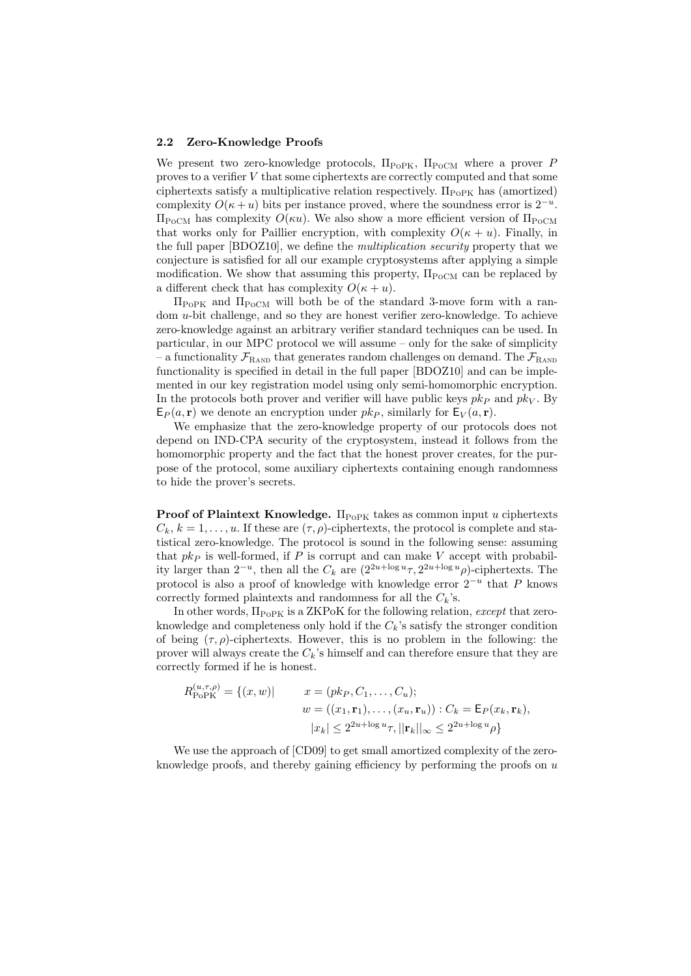#### **2.2 Zero-Knowledge Proofs**

We present two zero-knowledge protocols,  $\Pi_{PoPK}$ ,  $\Pi_{PoCM}$  where a prover *P* proves to a verifier *V* that some ciphertexts are correctly computed and that some ciphertexts satisfy a multiplicative relation respectively.  $\Pi_{\rm{PoPK}}$  has (amortized) complexity  $O(\kappa + u)$  bits per instance proved, where the soundness error is  $2^{-u}$ .  $\Pi_{\text{PoCM}}$  has complexity  $O(\kappa u)$ . We also show a more efficient version of  $\Pi_{\text{PoCM}}$ that works only for Paillier encryption, with complexity  $O(\kappa + u)$ . Finally, in the full paper [BDOZ10], we define the *multiplication security* property that we conjecture is satisfied for all our example cryptosystems after applying a simple modification. We show that assuming this property,  $\Pi_{\rm PoCM}$  can be replaced by a different check that has complexity  $O(\kappa + u)$ .

 $\Pi_{\text{PoPK}}$  and  $\Pi_{\text{PoCM}}$  will both be of the standard 3-move form with a random *u*-bit challenge, and so they are honest verifier zero-knowledge. To achieve zero-knowledge against an arbitrary verifier standard techniques can be used. In particular, in our MPC protocol we will assume – only for the sake of simplicity – a functionality  $\mathcal{F}_{\text{RAND}}$  that generates random challenges on demand. The  $\mathcal{F}_{\text{RAND}}$ functionality is specified in detail in the full paper [BDOZ10] and can be implemented in our key registration model using only semi-homomorphic encryption. In the protocols both prover and verifier will have public keys  $pk<sub>P</sub>$  and  $pk<sub>V</sub>$ . By  $E_P(a, r)$  we denote an encryption under  $pk_P$ , similarly for  $E_V(a, r)$ .

We emphasize that the zero-knowledge property of our protocols does not depend on IND-CPA security of the cryptosystem, instead it follows from the homomorphic property and the fact that the honest prover creates, for the purpose of the protocol, some auxiliary ciphertexts containing enough randomness to hide the prover's secrets.

**Proof of Plaintext Knowledge.** Π<sub>PoPK</sub> takes as common input *u* ciphertexts  $C_k$ ,  $k = 1, \ldots, u$ . If these are  $(\tau, \rho)$ -ciphertexts, the protocol is complete and statistical zero-knowledge. The protocol is sound in the following sense: assuming that  $pk<sub>P</sub>$  is well-formed, if  $P$  is corrupt and can make  $V$  accept with probability larger than  $2^{-u}$ , then all the  $C_k$  are  $(2^{2u + \log u}\tau, 2^{2u + \log u}\rho)$ -ciphertexts. The protocol is also a proof of knowledge with knowledge error 2*−<sup>u</sup>* that *P* knows correctly formed plaintexts and randomness for all the *Ck*'s.

In other words, ΠPoPK is a ZKPoK for the following relation, *except* that zeroknowledge and completeness only hold if the  $C_k$ 's satisfy the stronger condition of being  $(\tau, \rho)$ -ciphertexts. However, this is no problem in the following: the prover will always create the *Ck*'s himself and can therefore ensure that they are correctly formed if he is honest.

$$
R_{\text{PoPK}}^{(u,\tau,\rho)} = \{(x,w) | \qquad x = (pk_P, C_1, \dots, C_u);
$$
  
\n
$$
w = ((x_1, \mathbf{r}_1), \dots, (x_u, \mathbf{r}_u)) : C_k = \mathsf{E}_P(x_k, \mathbf{r}_k),
$$
  
\n
$$
|x_k| \le 2^{2u + \log u} \tau, ||\mathbf{r}_k||_{\infty} \le 2^{2u + \log u} \rho \}
$$

We use the approach of [CD09] to get small amortized complexity of the zeroknowledge proofs, and thereby gaining efficiency by performing the proofs on *u*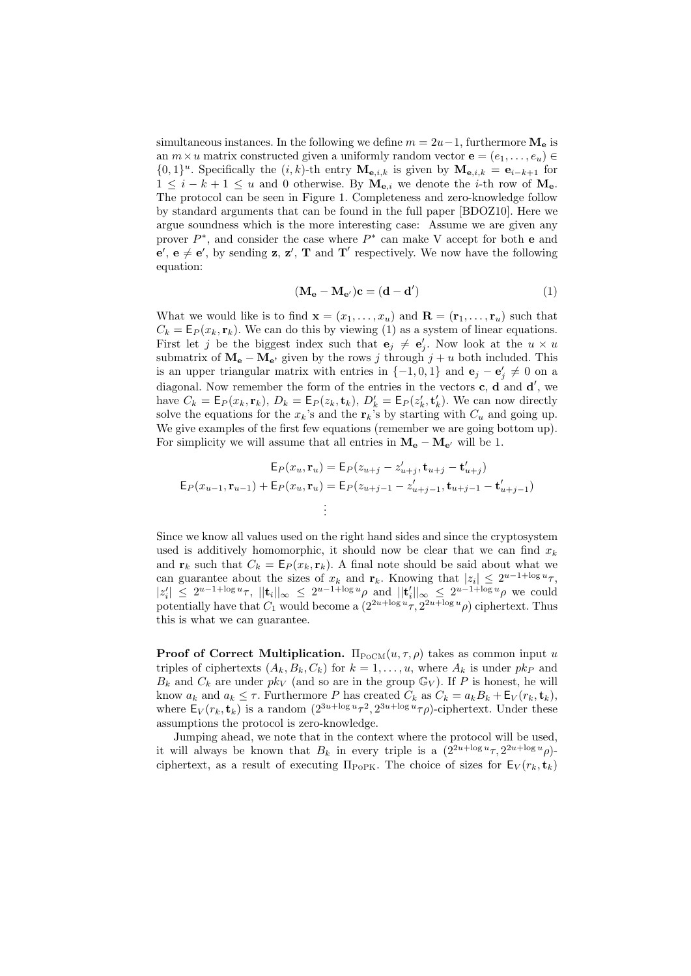simultaneous instances. In the following we define  $m = 2u - 1$ , furthermore  $M_e$  is an  $m \times u$  matrix constructed given a uniformly random vector  $\mathbf{e} = (e_1, \ldots, e_u) \in$ *{*0*,* 1*}*<sup>*u*</sup>. Specifically the (*i, k*)-th entry **Me**<sub>*,i,k*</sub> is given by **Me**<sub>*,i,k*</sub> = **e**<sub>*i*−*k*+1</sub> for 1 ≤  $i - k + 1$  ≤  $u$  and 0 otherwise. By  $\mathbf{M}_{e,i}$  we denote the *i*-th row of  $\mathbf{M}_{e}$ . The protocol can be seen in Figure 1. Completeness and zero-knowledge follow by standard arguments that can be found in the full paper [BDOZ10]. Here we argue soundness which is the more interesting case: Assume we are given any prover *P ∗* , and consider the case where *P ∗* can make V accept for both **e** and  ${\bf e}'$ ,  ${\bf e} \neq {\bf e}'$ , by sending **z**, **z'**, **T** and **T**' respectively. We now have the following equation:

$$
(\mathbf{M}_{\mathbf{e}} - \mathbf{M}_{\mathbf{e'}})\mathbf{c} = (\mathbf{d} - \mathbf{d'})
$$
 (1)

What we would like is to find  $\mathbf{x} = (x_1, \ldots, x_u)$  and  $\mathbf{R} = (\mathbf{r}_1, \ldots, \mathbf{r}_u)$  such that  $C_k = \mathsf{E}_P(x_k, \mathbf{r}_k)$ . We can do this by viewing (1) as a system of linear equations. First let *j* be the biggest index such that  $\mathbf{e}_j \neq \mathbf{e}'_j$ . Now look at the  $u \times u$ submatrix of  $M_e - M_e$ <sup>t</sup> given by the rows *j* through  $j + u$  both included. This is an upper triangular matrix with entries in  $\{-1,0,1\}$  and  $\mathbf{e}_j - \mathbf{e}'_j \neq 0$  on a diagonal. Now remember the form of the entries in the vectors **c**, **d** and **d** *′* , we have  $C_k = \mathsf{E}_P(x_k, \mathbf{r}_k)$ ,  $D_k = \mathsf{E}_P(z_k, \mathbf{t}_k)$ ,  $D'_k = \mathsf{E}_P(z'_k, \mathbf{t}'_k)$ . We can now directly solve the equations for the  $x_k$ 's and the  $\mathbf{r}_k$ 's by starting with  $C_u$  and going up. We give examples of the first few equations (remember we are going bottom up). For simplicity we will assume that all entries in  $\mathbf{M}_e - \mathbf{M}_{e'}$  will be 1.

$$
\mathsf{E}_P(x_u, \mathbf{r}_u) = \mathsf{E}_P(z_{u+j} - z'_{u+j}, \mathbf{t}_{u+j} - \mathbf{t}'_{u+j})
$$

$$
\mathsf{E}_P(x_{u-1}, \mathbf{r}_{u-1}) + \mathsf{E}_P(x_u, \mathbf{r}_u) = \mathsf{E}_P(z_{u+j-1} - z'_{u+j-1}, \mathbf{t}_{u+j-1} - \mathbf{t}'_{u+j-1})
$$

$$
\vdots
$$

Since we know all values used on the right hand sides and since the cryptosystem used is additively homomorphic, it should now be clear that we can find  $x_k$ and  $\mathbf{r}_k$  such that  $C_k = \mathsf{E}_P(x_k, \mathbf{r}_k)$ . A final note should be said about what we can guarantee about the sizes of  $x_k$  and  $\mathbf{r}_k$ . Knowing that  $|z_i| \leq 2^{u-1+\log u} \tau$ ,  $|z'_i| \leq 2^{u-1+\log u}\tau$ ,  $||\mathbf{t}_i||_{\infty} \leq 2^{u-1+\log u}\rho$  and  $||\mathbf{t}'_i||_{\infty} \leq 2^{u-1+\log u}\rho$  we could potentially have that  $C_1$  would become a  $(2^{2u + \log u}\tau, 2^{2u + \log u}\rho)$  ciphertext. Thus this is what we can guarantee.

**Proof of Correct Multiplication.**  $\Pi_{\text{PoCM}}(u, \tau, \rho)$  takes as common input *u* triples of ciphertexts  $(A_k, B_k, C_k)$  for  $k = 1, \ldots, u$ , where  $A_k$  is under  $pk_P$  and  $B_k$  and  $C_k$  are under  $pk_V$  (and so are in the group  $\mathbb{G}_V$ ). If *P* is honest, he will know  $a_k$  and  $a_k \leq \tau$ . Furthermore *P* has created  $C_k$  as  $C_k = a_k B_k + \mathsf{E}_V(r_k, \mathbf{t}_k)$ , where  $\mathsf{E}_V(r_k, \mathbf{t}_k)$  is a random  $(2^{3u + \log u}\tau^2, 2^{3u + \log u}\tau\rho)$ -ciphertext. Under these assumptions the protocol is zero-knowledge.

Jumping ahead, we note that in the context where the protocol will be used, it will always be known that  $B_k$  in every triple is a  $(2^{2u + \log u}\tau, 2^{2u + \log u}\rho)$ ciphertext, as a result of executing  $\Pi_{\text{POPK}}$ . The choice of sizes for  $E_V(r_k, t_k)$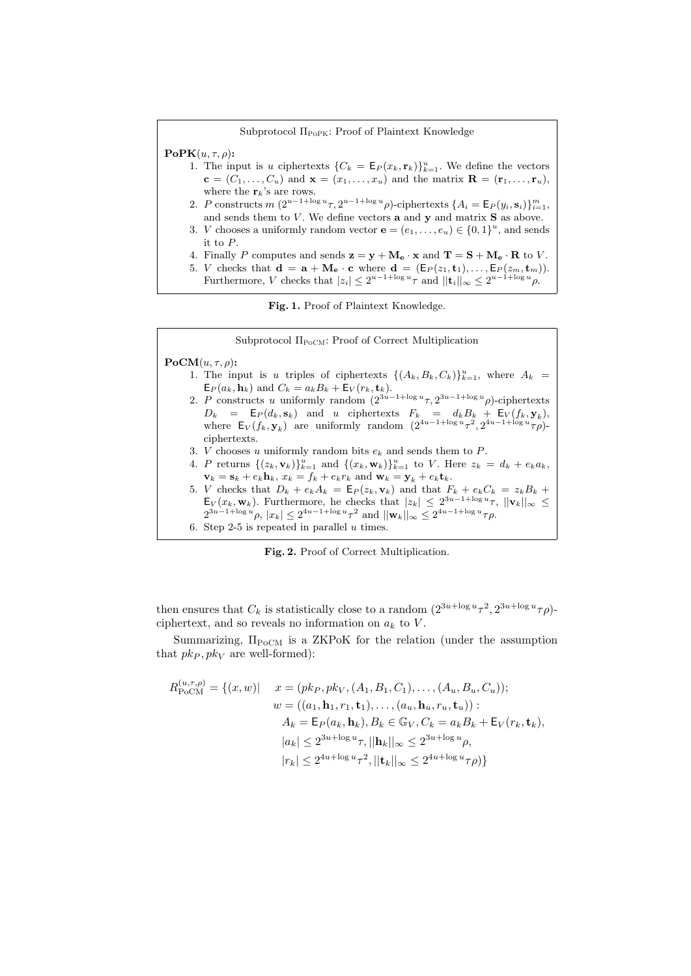#### Subprotocol Π<sub>PoPK</sub>: Proof of Plaintext Knowledge

 $\mathbf{PoPK}(u, \tau, \rho)$ :

- 1. The input is *u* ciphertexts  $\{C_k = \mathsf{E}_P(x_k, \mathbf{r}_k)\}_{k=1}^u$ . We define the vectors  $\mathbf{c} = (C_1, \ldots, C_u)$  and  $\mathbf{x} = (x_1, \ldots, x_u)$  and the matrix  $\mathbf{R} = (\mathbf{r}_1, \ldots, \mathbf{r}_u)$ , where the  $\mathbf{r}_k$ 's are rows.
- 2. P constructs  $m(2^{u-1+\log u}\tau, 2^{u-1+\log u}\rho)$ -ciphertexts  $\{A_i = \mathsf{E}_P(y_i, \mathbf{s}_i)\}_{i=1}^m$ , and sends them to *V* . We define vectors **a** and **y** and matrix **S** as above.
- 3. *V* chooses a uniformly random vector  $\mathbf{e} = (e_1, \ldots, e_u) \in \{0, 1\}^u$ , and sends it to *P*.
- 4. Finally *P* computes and sends  $z = y + M_e \cdot x$  and  $T = S + M_e \cdot R$  to *V*.
- 5. *V* checks that  $\mathbf{d} = \mathbf{a} + \mathbf{M}_\mathbf{e} \cdot \mathbf{c}$  where  $\mathbf{d} = (\mathsf{E}_P(z_1, \mathbf{t}_1), \dots, \mathsf{E}_P(z_m, \mathbf{t}_m)).$ 
	- Furthermore, *V* checks that  $|z_i| \leq 2^{u-1+\log u} \tau$  and  $||\mathbf{t}_i||_{\infty} \leq 2^{u-1+\log u} \rho$ .

**Fig. 1.** Proof of Plaintext Knowledge.

Subprotocol Π<sub>PoCM</sub>: Proof of Correct Multiplication

### $\textbf{PoCM}(u, \tau, \rho)$ :

- 1. The input is *u* triples of ciphertexts  $\{(A_k, B_k, C_k)\}_{k=1}^u$ , where  $A_k$  $E_P(a_k, \mathbf{h}_k)$  and  $C_k = a_k B_k + E_V(r_k, \mathbf{t}_k)$ .
- 2. *P* constructs *u* uniformly random  $(2^{3u-1+\log u}\tau, 2^{3u-1+\log u}\rho)$ -ciphertexts  $D_k$  = E<sub>*P*</sub>( $d_k$ ,  $s_k$ ) and *u* ciphertexts  $F_k$  =  $d_k B_k$  + E<sub>*V*</sub>( $f_k$ ,  $\mathbf{y}_k$ ), where  $\mathsf{E}_V(f_k, \mathbf{y}_k)$  are uniformly random  $(2^{4u-1+\log u}\tau^2, 2^{4u-1+\log u}\tau\rho)$ ciphertexts.
- 3. *V* chooses *u* uniformly random bits *e<sup>k</sup>* and sends them to *P*.
- 4. P returns  $\{(z_k, \mathbf{v}_k)\}_{k=1}^u$  and  $\{(x_k, \mathbf{w}_k)\}_{k=1}^u$  to V. Here  $z_k = d_k + e_k a_k$ ,  $\mathbf{v}_k = \mathbf{s}_k + e_k \mathbf{h}_k, x_k = f_k + e_k r_k \text{ and } \mathbf{w}_k = \mathbf{y}_k + e_k \mathbf{t}_k.$
- 5. V checks that  $D_k + e_k A_k = \mathsf{E}_P(z_k, \mathbf{v}_k)$  and that  $F_k + e_k C_k = z_k B_k +$  $\mathbf{E}_V(x_k, \mathbf{w}_k)$ . Furthermore, he checks that  $|z_k| \leq 2^{3u-1+\log u}\tau$ ,  $||\mathbf{v}_k||_{\infty} \leq$  $2^{3u-1+\log u}\rho, |x_k| \leq 2^{4u-1+\log u}\tau^2$  and  $||\mathbf{w}_k||_{\infty} \leq 2^{4u-1+\log u}\tau\rho$ .
- 6. Step 2-5 is repeated in parallel *u* times.

**Fig. 2.** Proof of Correct Multiplication.

then ensures that  $C_k$  is statistically close to a random  $(2^{3u+\log u}\tau^2, 2^{3u+\log u}\tau\rho)$ ciphertext, and so reveals no information on  $a_k$  to  $V$ .

Summarizing,  $\Pi_{\rm PoCM}$  is a ZKPoK for the relation (under the assumption that  $pk_P, pk_V$  are well-formed):

$$
R_{\text{PoCM}}^{(u,\tau,\rho)} = \{(x,w) | \quad x = (pk_P, pk_V, (A_1, B_1, C_1), \dots, (A_u, B_u, C_u));
$$
  
\n
$$
w = ((a_1, \mathbf{h}_1, r_1, \mathbf{t}_1), \dots, (a_u, \mathbf{h}_u, r_u, \mathbf{t}_u)) :
$$
  
\n
$$
A_k = \mathsf{E}_P(a_k, \mathbf{h}_k), B_k \in \mathbb{G}_V, C_k = a_k B_k + \mathsf{E}_V(r_k, \mathbf{t}_k),
$$
  
\n
$$
|a_k| \le 2^{3u + \log u} \tau, ||\mathbf{h}_k||_{\infty} \le 2^{3u + \log u} \rho,
$$
  
\n
$$
|r_k| \le 2^{4u + \log u} \tau^2, ||\mathbf{t}_k||_{\infty} \le 2^{4u + \log u} \tau \rho) \}
$$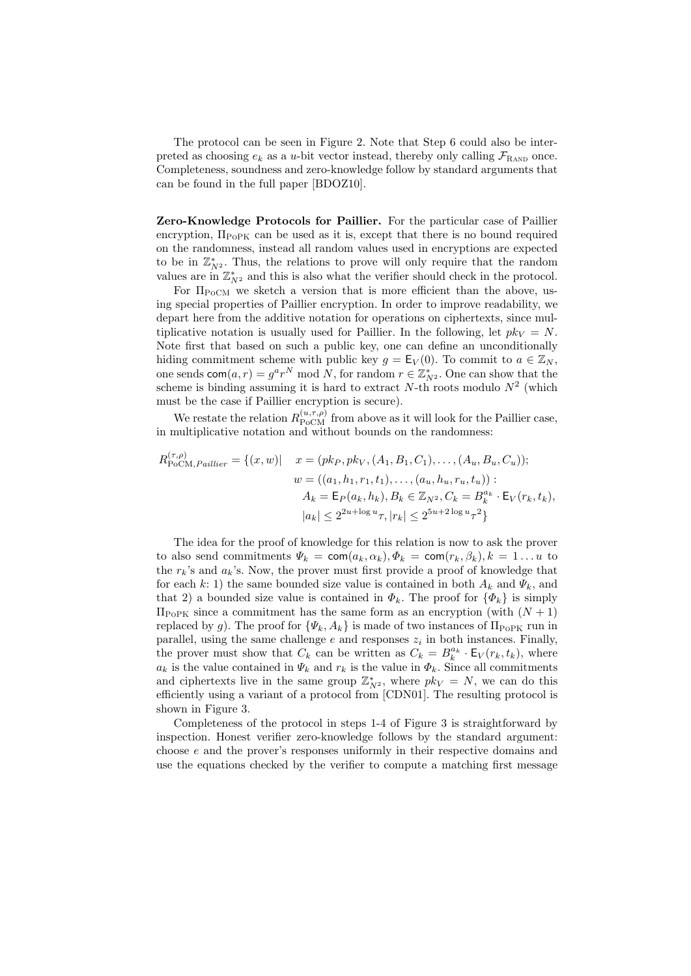The protocol can be seen in Figure 2. Note that Step 6 could also be interpreted as choosing  $e_k$  as a *u*-bit vector instead, thereby only calling  $\mathcal{F}_{\text{RAND}}$  once. Completeness, soundness and zero-knowledge follow by standard arguments that can be found in the full paper [BDOZ10].

**Zero-Knowledge Protocols for Paillier.** For the particular case of Paillier encryption,  $\Pi_{\rm PoPK}$  can be used as it is, except that there is no bound required on the randomness, instead all random values used in encryptions are expected to be in  $\mathbb{Z}_{N^2}^*$ . Thus, the relations to prove will only require that the random values are in  $\mathbb{Z}_{N^2}^*$  and this is also what the verifier should check in the protocol.

For  $\Pi_{\rm PoCM}$  we sketch a version that is more efficient than the above, using special properties of Paillier encryption. In order to improve readability, we depart here from the additive notation for operations on ciphertexts, since multiplicative notation is usually used for Paillier. In the following, let  $pk_V = N$ . Note first that based on such a public key, one can define an unconditionally hiding commitment scheme with public key  $g = \mathsf{E}_V(0)$ . To commit to  $a \in \mathbb{Z}_N$ , one sends  $\textsf{com}(a, r) = g^a r^N \mod N$ , for random  $r \in \mathbb{Z}_{N^2}^*$ . One can show that the scheme is binding assuming it is hard to extract  $N$ -th roots modulo  $N^2$  (which must be the case if Paillier encryption is secure).

We restate the relation  $R_{\text{PoCM}}^{(u,\tau,\rho)}$  from above as it will look for the Paillier case, in multiplicative notation and without bounds on the randomness:

$$
R_{\text{PoCM}, Paullier}^{(\tau,\rho)} = \{(x,w) | \quad x = (pk_P, pk_V, (A_1, B_1, C_1), \dots, (A_u, B_u, C_u));
$$
  
\n
$$
w = ((a_1, h_1, r_1, t_1), \dots, (a_u, h_u, r_u, t_u)) :
$$
  
\n
$$
A_k = \mathsf{E}_P(a_k, h_k), B_k \in \mathbb{Z}_{N^2}, C_k = B_k^{a_k} \cdot \mathsf{E}_V(r_k, t_k),
$$
  
\n
$$
|a_k| \le 2^{2u + \log u} \tau, |r_k| \le 2^{5u + 2\log u} \tau^2 \}
$$

The idea for the proof of knowledge for this relation is now to ask the prover to also send commitments  $\Psi_k = \text{com}(a_k, \alpha_k), \Phi_k = \text{com}(r_k, \beta_k), k = 1...u$  to the  $r_k$ 's and  $a_k$ 's. Now, the prover must first provide a proof of knowledge that for each *k*: 1) the same bounded size value is contained in both  $A_k$  and  $\Psi_k$ , and that 2) a bounded size value is contained in  $\Phi_k$ . The proof for  $\{\Phi_k\}$  is simply  $\Pi_{\text{POPK}}$  since a commitment has the same form as an encryption (with  $(N+1)$ ) replaced by *g*). The proof for  $\{\Psi_k, A_k\}$  is made of two instances of  $\Pi_{\text{PoPK}}$  run in parallel, using the same challenge *e* and responses *z<sup>i</sup>* in both instances. Finally, the prover must show that  $C_k$  can be written as  $C_k = B_k^{a_k} \cdot \mathsf{E}_V(r_k, t_k)$ , where  $a_k$  is the value contained in  $\Psi_k$  and  $r_k$  is the value in  $\Phi_k$ . Since all commitments and ciphertexts live in the same group  $\mathbb{Z}_{N^2}^*$ , where  $pk_V = N$ , we can do this efficiently using a variant of a protocol from [CDN01]. The resulting protocol is shown in Figure 3.

Completeness of the protocol in steps 1-4 of Figure 3 is straightforward by inspection. Honest verifier zero-knowledge follows by the standard argument: choose *e* and the prover's responses uniformly in their respective domains and use the equations checked by the verifier to compute a matching first message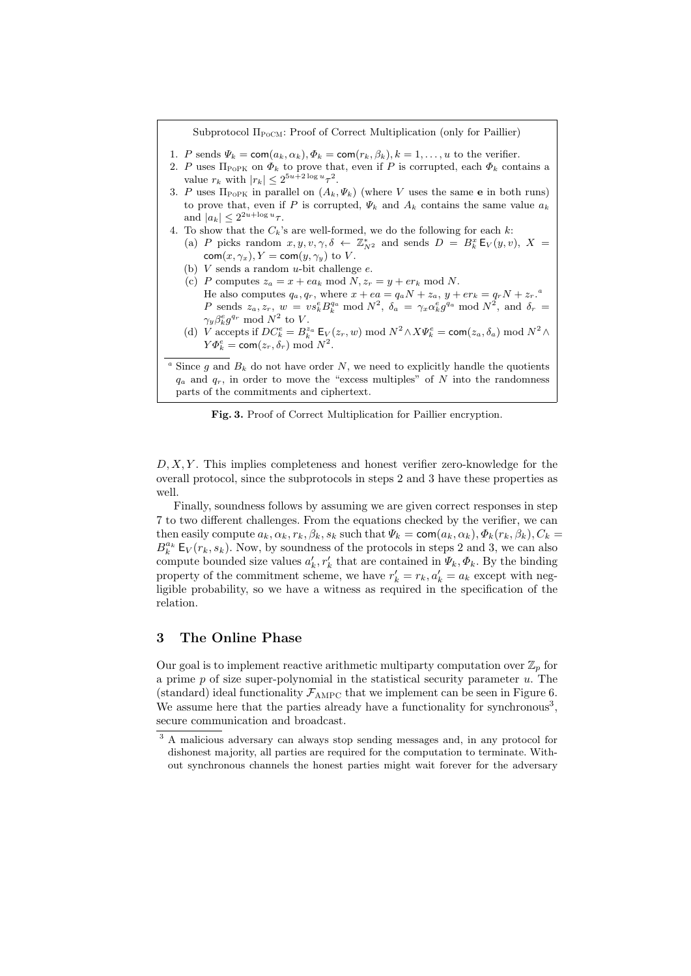Subprotocol  $\Pi_{\text{PoCM}}$ : Proof of Correct Multiplication (only for Paillier)

- 1. *P* sends  $\Psi_k = \text{com}(a_k, \alpha_k), \Phi_k = \text{com}(r_k, \beta_k), k = 1, \ldots, u$  to the verifier.
- 2. *P* uses  $\Pi_{\text{POPK}}$  on  $\Phi_k$  to prove that, even if *P* is corrupted, each  $\Phi_k$  contains a value  $r_k$  with  $|r_k| \leq 2^{5u+2\log u} \tau^2$ .
- 3. *P* uses  $\Pi_{\text{PoPK}}$  in parallel on  $(A_k, \Psi_k)$  (where *V* uses the same **e** in both runs) to prove that, even if *P* is corrupted,  $\Psi_k$  and  $A_k$  contains the same value  $a_k$ and  $|a_k| \leq 2^{2u + \log u} \tau$ .
- 4. To show that the  $C_k$ 's are well-formed, we do the following for each  $k$ :
	- (a) *P* picks random  $x, y, v, \gamma, \delta \leftarrow \mathbb{Z}_{N^2}^*$  and sends  $D = B_k^x \mathsf{E}_V(y, v), X =$  $com(x, \gamma_x), Y = com(y, \gamma_y)$  to *V*.
	- (b) *V* sends a random *u*-bit challenge *e*.
	- (c) *P* computes  $z_a = x + ea_k \mod N$ ,  $z_r = y + er_k \mod N$ . He also computes  $q_a, q_r$ , where  $x + ea = q_a N + z_a$ ,  $y + er_k = q_r N + z_r$ . P sends  $z_a, z_r$ ,  $w = vs_k^e B_k^{q_a} \mod N^2$ ,  $\delta_a = \gamma_x \alpha_k^e g^{q_a} \mod N^2$ , and  $\delta_r =$ *γ*<sub>*y*</sub> $\beta_k^e g^{q_r}$  mod  $N^2$  to *V*.
	- (d) V accepts if  $DC_k^e = B_k^{z_a}$   $\mathsf{E}_V(z_r, w)$  mod  $N^2 \wedge X \Psi_k^e = \text{com}(z_a, \delta_a)$  mod  $N^2 \wedge$  $Y\Phi_k^e = \text{com}(z_r, \delta_r) \bmod N^2$ .

<sup>*a*</sup> Since *g* and  $B_k$  do not have order *N*, we need to explicitly handle the quotients  $q_a$  and  $q_r$ , in order to move the "excess multiples" of *N* into the randomness parts of the commitments and ciphertext.

**Fig. 3.** Proof of Correct Multiplication for Paillier encryption.

*D, X, Y* . This implies completeness and honest verifier zero-knowledge for the overall protocol, since the subprotocols in steps 2 and 3 have these properties as well.

Finally, soundness follows by assuming we are given correct responses in step 7 to two different challenges. From the equations checked by the verifier, we can then easily compute  $a_k, \alpha_k, r_k, \beta_k, s_k$  such that  $\Psi_k = \text{com}(a_k, \alpha_k), \Phi_k(r_k, \beta_k), C_k =$  $B_k^{a_k}$  **E**<sub>V</sub> $(r_k, s_k)$ . Now, by soundness of the protocols in steps 2 and 3, we can also compute bounded size values  $a'_{k}$ ,  $r'_{k}$  that are contained in  $\Psi_{k}, \Phi_{k}$ . By the binding property of the commitment scheme, we have  $r'_{k} = r_{k}, a'_{k} = a_{k}$  except with negligible probability, so we have a witness as required in the specification of the relation.

# **3 The Online Phase**

Our goal is to implement reactive arithmetic multiparty computation over  $\mathbb{Z}_p$  for a prime *p* of size super-polynomial in the statistical security parameter *u*. The (standard) ideal functionality  $\mathcal{F}_{\text{AMPC}}$  that we implement can be seen in Figure 6. We assume here that the parties already have a functionality for synchronous<sup>3</sup>, secure communication and broadcast.

<sup>3</sup> A malicious adversary can always stop sending messages and, in any protocol for dishonest majority, all parties are required for the computation to terminate. Without synchronous channels the honest parties might wait forever for the adversary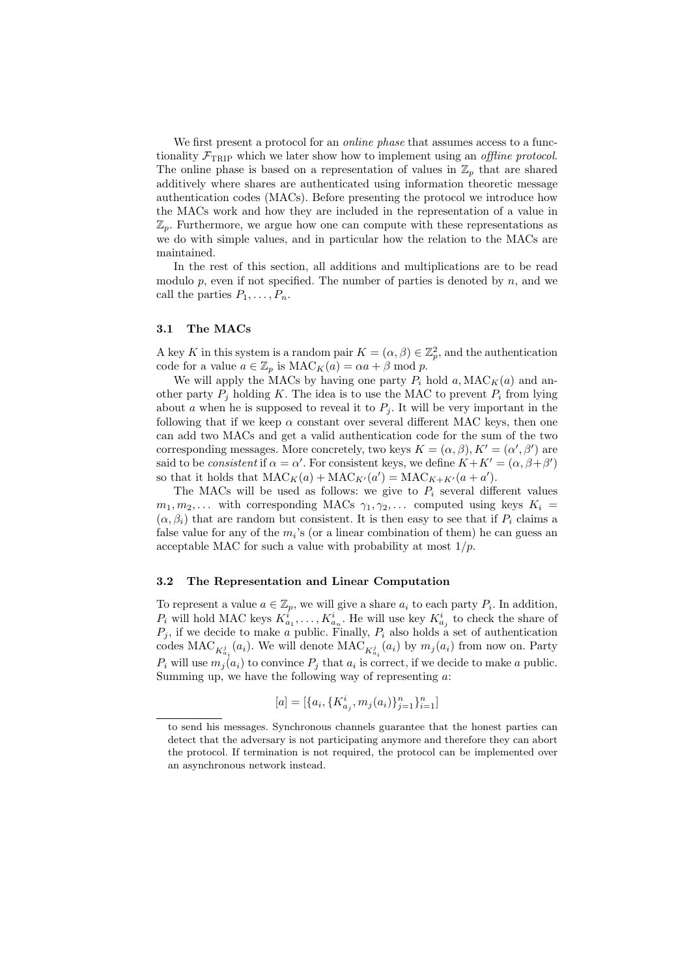We first present a protocol for an *online phase* that assumes access to a functionality *F*TRIP which we later show how to implement using an *offline protocol*. The online phase is based on a representation of values in  $\mathbb{Z}_p$  that are shared additively where shares are authenticated using information theoretic message authentication codes (MACs). Before presenting the protocol we introduce how the MACs work and how they are included in the representation of a value in  $\mathbb{Z}_p$ . Furthermore, we argue how one can compute with these representations as we do with simple values, and in particular how the relation to the MACs are maintained.

In the rest of this section, all additions and multiplications are to be read modulo  $p$ , even if not specified. The number of parties is denoted by  $n$ , and we call the parties  $P_1, \ldots, P_n$ .

### **3.1 The MACs**

A key *K* in this system is a random pair  $K = (\alpha, \beta) \in \mathbb{Z}_p^2$ , and the authentication code for a value  $a \in \mathbb{Z}_p$  is  $\text{MAC}_K(a) = \alpha a + \beta \mod p$ .

We will apply the MACs by having one party  $P_i$  hold  $a, \text{MAC}_K(a)$  and another party  $P_j$  holding  $K$ . The idea is to use the MAC to prevent  $P_i$  from lying about *a* when he is supposed to reveal it to  $P_j$ . It will be very important in the following that if we keep  $\alpha$  constant over several different MAC keys, then one can add two MACs and get a valid authentication code for the sum of the two corresponding messages. More concretely, two keys  $K = (\alpha, \beta), K' = (\alpha', \beta')$  are said to be *consistent* if  $\alpha = \alpha'$ . For consistent keys, we define  $K + K' = (\alpha, \beta + \beta')$ so that it holds that  $MAC_K(a) + MAC_{K'}(a') = MAC_{K+K'}(a+a').$ 

The MACs will be used as follows: we give to  $P_i$  several different values  $m_1, m_2, \ldots$  with corresponding MACs  $\gamma_1, \gamma_2, \ldots$  computed using keys  $K_i =$  $(\alpha, \beta_i)$  that are random but consistent. It is then easy to see that if  $P_i$  claims a false value for any of the  $m_i$ 's (or a linear combination of them) he can guess an acceptable MAC for such a value with probability at most 1*/p*.

#### **3.2 The Representation and Linear Computation**

To represent a value  $a \in \mathbb{Z}_p$ , we will give a share  $a_i$  to each party  $P_i$ . In addition,  $P_i$  will hold MAC keys  $K_{a_1}^i, \ldots, K_{a_n}^i$ . He will use key  $K_{a_j}^i$  to check the share of  $P_j$ , if we decide to make *a* public. Finally,  $P_i$  also holds a set of authentication codes  $MAC_{K_{a_i}^j}(a_i)$ . We will denote  $MAC_{K_{a_i}^j}(a_i)$  by  $m_j(a_i)$  from now on. Party  $P_i$  will use  $m_j(a_i)$  to convince  $P_j$  that  $a_i$  is correct, if we decide to make *a* public. Summing up, we have the following way of representing *a*:

$$
[a] = [\{a_i, \{K_{a_j}^i, m_j(a_i)\}_{j=1}^n\}_{i=1}^n]
$$

to send his messages. Synchronous channels guarantee that the honest parties can detect that the adversary is not participating anymore and therefore they can abort the protocol. If termination is not required, the protocol can be implemented over an asynchronous network instead.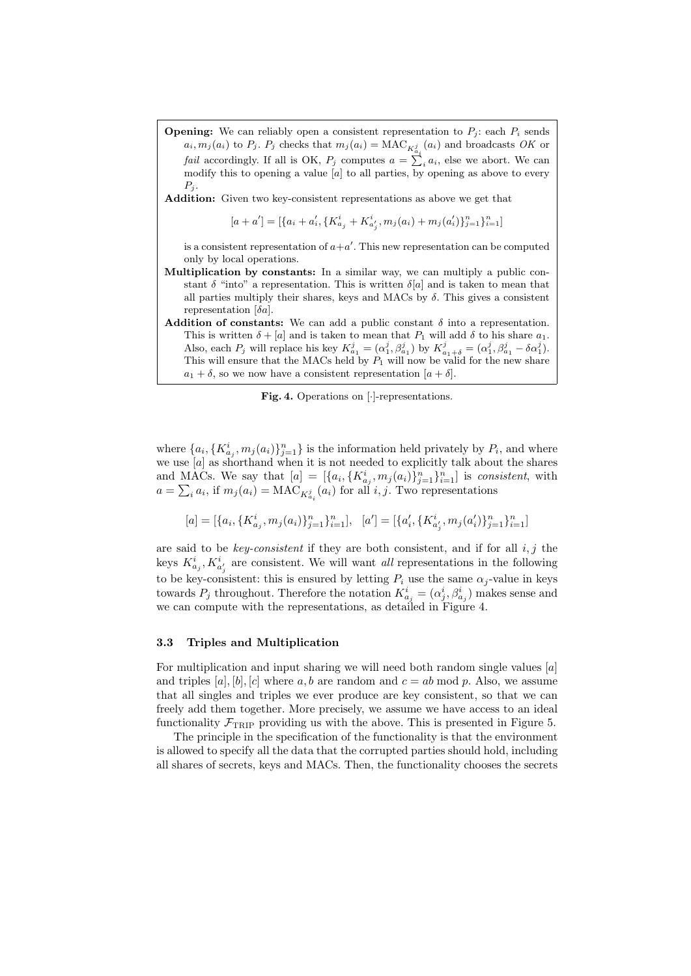**Opening:** We can reliably open a consistent representation to  $P_i$ ; each  $P_i$  sends  $a_i, m_j(a_i)$  to  $P_j$ .  $P_j$  checks that  $m_j(a_i) = \text{MAC}_{K_{a_i}^j}(a_i)$  and broadcasts *OK* or *fail* accordingly. If all is OK,  $P_j$  computes  $a = \sum_i a_i$ , else we abort. We can modify this to opening a value [*a*] to all parties, by opening as above to every  $P_i$ .

**Addition:** Given two key-consistent representations as above we get that

 $[a + a'] = [\{a_i + a'_i, \{K^i_{a_j} + K^i_{a'_j}, m_j(a_i) + m_j(a'_i)\}_{j=1}^n\}_{i=1}^n]$ 

is a consistent representation of  $a+a'$ . This new representation can be computed only by local operations.

- **Multiplication by constants:** In a similar way, we can multiply a public constant  $\delta$  "into" a representation. This is written  $\delta[a]$  and is taken to mean that all parties multiply their shares, keys and MACs by *δ*. This gives a consistent representation [*δa*].
- **Addition of constants:** We can add a public constant  $\delta$  into a representation. This is written  $\delta + [a]$  and is taken to mean that  $P_1$  will add  $\delta$  to his share  $a_1$ . Also, each  $P_j$  will replace his key  $K_{a_1}^j = (\alpha_1^j, \beta_{a_1}^j)$  by  $K_{a_1+\delta}^j = (\alpha_1^j, \beta_{a_1}^j - \delta \alpha_1^j)$ . This will ensure that the MACs held by  $P_1$  will now be valid for the new share  $a_1 + \delta$ , so we now have a consistent representation  $[a + \delta]$ .

**Fig. 4.** Operations on [*·*]-representations.

where  $\{a_i, \{K_{a_j}^i, m_j(a_i)\}_{j=1}^n\}$  is the information held privately by  $P_i$ , and where we use [*a*] as shorthand when it is not needed to explicitly talk about the shares and MACs. We say that  $[a] = [\{a_i, \{K_{a_j}^i, m_j(a_i)\}_{j=1}^n\}_{i=1}^n]$  is *consistent*, with  $a = \sum_i a_i$ , if  $m_j(a_i) = \text{MAC}_{K_{a_i}^j}(a_i)$  for all *i, j*. Two representations

$$
[a]=[\{a_i,\{K_{a_j}^i,m_j(a_i)\}_{j=1}^n\}_{i=1}^n],\ \ [a']=[\{a_i',\{K_{a_j'}^i,m_j(a_i')\}_{j=1}^n\}_{i=1}^n]
$$

are said to be *key-consistent* if they are both consistent, and if for all *i, j* the keys  $K_{a_j}^i$ ,  $K_{a'_j}^i$  are consistent. We will want *all* representations in the following to be key-consistent: this is ensured by letting  $P_i$  use the same  $\alpha_j$ -value in keys towards  $P_j$  throughout. Therefore the notation  $K_{a_j}^i = (\alpha_j^i, \beta_{a_j}^i)$  makes sense and we can compute with the representations, as detailed in Figure 4.

### **3.3 Triples and Multiplication**

For multiplication and input sharing we will need both random single values [*a*] and triples [a], [b], [c] where  $a, b$  are random and  $c = ab \mod p$ . Also, we assume that all singles and triples we ever produce are key consistent, so that we can freely add them together. More precisely, we assume we have access to an ideal functionality  $\mathcal{F}_{TRIP}$  providing us with the above. This is presented in Figure 5.

The principle in the specification of the functionality is that the environment is allowed to specify all the data that the corrupted parties should hold, including all shares of secrets, keys and MACs. Then, the functionality chooses the secrets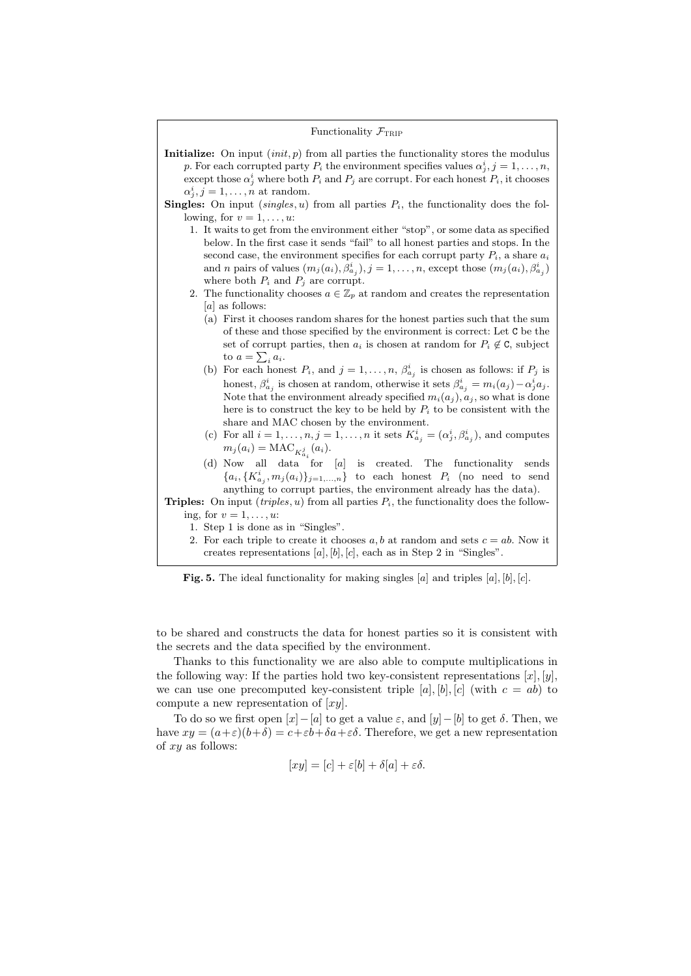### Functionality  $\mathcal{F}_{\text{TRIP}}$

**Initialize:** On input  $(int, p)$  from all parties the functionality stores the modulus *p*. For each corrupted party  $P_i$  the environment specifies values  $\alpha_j^i$ ,  $j = 1, \ldots, n$ , except those  $\alpha_j^i$  where both  $P_i$  and  $P_j$  are corrupt. For each honest  $P_i$ , it chooses  $\alpha_j^i, j = 1, \ldots, n$  at random.

**Singles:** On input  $(singles, u)$  from all parties  $P_i$ , the functionality does the following, for  $v = 1, \ldots, u$ :

- 1. It waits to get from the environment either "stop", or some data as specified below. In the first case it sends "fail" to all honest parties and stops. In the second case, the environment specifies for each corrupt party  $P_i$ , a share  $a_i$ and *n* pairs of values  $(m_j(a_i), \beta_{a_j}^i), j = 1, \ldots, n$ , except those  $(m_j(a_i), \beta_{a_j}^i)$ where both  $P_i$  and  $P_j$  are corrupt.
- 2. The functionality chooses  $a \in \mathbb{Z}_p$  at random and creates the representation [*a*] as follows:
	- (a) First it chooses random shares for the honest parties such that the sum of these and those specified by the environment is correct: Let C be the set of corrupt parties, then  $a_i$  is chosen at random for  $P_i \notin \mathcal{C}$ , subject to  $a = \sum_i a_i$ .
	- (b) For each honest  $P_i$ , and  $j = 1, ..., n$ ,  $\beta_{a_j}^i$  is chosen as follows: if  $P_j$  is honest,  $\beta_{a_j}^i$  is chosen at random, otherwise it sets  $\beta_{a_j}^i = m_i(a_j) - \alpha_j^i a_j$ . Note that the environment already specified  $m_i(a_j)$ ,  $a_j$ , so what is done here is to construct the key to be held by  $P_i$  to be consistent with the share and MAC chosen by the environment.
	- (c) For all  $i = 1, ..., n, j = 1, ..., n$  it sets  $K_{a_j}^i = (\alpha_j^i, \beta_{a_j}^i)$ , and computes  $m_j(a_i) = \text{MAC}_{K_{a_i}^j}(a_i).$
	- (d) Now all data for [*a*] is created. The functionality sends  ${a_i, \{K_{a_j}^i, m_j(a_i)\}_{j=1,\ldots,n}}$  to each honest  $P_i$  (no need to send anything to corrupt parties, the environment already has the data).

**Triples:** On input (*triples*, *u*) from all parties  $P_i$ , the functionality does the following, for  $v = 1, ..., u$ :

- 1. Step 1 is done as in "Singles".
- 2. For each triple to create it chooses  $a, b$  at random and sets  $c = ab$ . Now it creates representations  $[a], [b], [c]$ , each as in Step 2 in "Singles".

**Fig. 5.** The ideal functionality for making singles [*a*] and triples [*a*]*,* [*b*]*,* [*c*].

to be shared and constructs the data for honest parties so it is consistent with the secrets and the data specified by the environment.

Thanks to this functionality we are also able to compute multiplications in the following way: If the parties hold two key-consistent representations  $[x]$ *,*  $[y]$ *,* we can use one precomputed key-consistent triple  $[a], [b], [c]$  (with  $c = ab$ ) to compute a new representation of [*xy*].

To do so we first open  $[x] - [a]$  to get a value  $\varepsilon$ , and  $[y] - [b]$  to get  $\delta$ . Then, we have  $xy = (a+\varepsilon)(b+\delta) = c+\varepsilon b+\delta a+\varepsilon\delta$ . Therefore, we get a new representation of *xy* as follows:

$$
[xy] = [c] + \varepsilon [b] + \delta [a] + \varepsilon \delta.
$$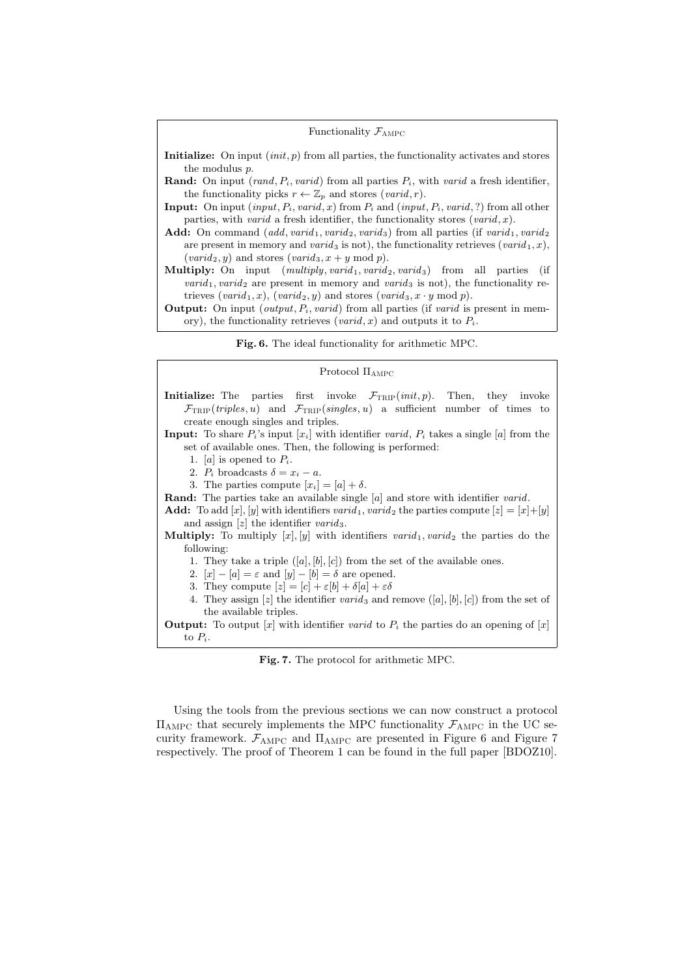### Functionality  $\mathcal{F}_{AMPC}$

**Initialize:** On input (*init, p*) from all parties, the functionality activates and stores the modulus *p*.

- **Rand:** On input  $(rand, P_i, \text{vari}d)$  from all parties  $P_i$ , with *varid* a fresh identifier, the functionality picks  $r \leftarrow \mathbb{Z}_p$  and stores (*varid, r*).
- **Input:** On input  $(input, P_i, \text{vari}d, x)$  from  $P_i$  and  $(input, P_i, \text{vari}d, ?)$  from all other parties, with *varid* a fresh identifier, the functionality stores (*varid, x*).
- Add: On command  $(\text{add}, \text{variable}, \text{variable})$  from all parties (if  $\text{variable}, \text{variable}$ ) are present in memory and *varid*<sub>3</sub> is not), the functionality retrieves  $(varid_1, x)$ ,  $(varid_2, y)$  and stores  $(varid_3, x + y \mod p)$ .
- **Multiply:** On input  $(multiply, variable, variable, variable)$  from all parties (if  $\text{varid}_1, \text{varid}_2$  are present in memory and  $\text{varid}_3$  is not), the functionality retrieves  $(varid_1, x)$ ,  $(varid_2, y)$  and stores  $(varid_3, x \cdot y \mod p)$ .

**Output:** On input (*output, Pi, varid*) from all parties (if *varid* is present in memory), the functionality retrieves (*varid, x*) and outputs it to *Pi*.

|  |  | Fig. 6. The ideal functionality for arithmetic MPC. |  |  |  |
|--|--|-----------------------------------------------------|--|--|--|
|--|--|-----------------------------------------------------|--|--|--|

#### Protocol ΠAMPC

**Initialize:** The parties first invoke  $\mathcal{F}_{TRIP}(init, p)$ . Then, they invoke  $\mathcal{F}_{TRIP}(triples, u)$  and  $\mathcal{F}_{TRIP}(single, u)$  a sufficient number of times to create enough singles and triples.

**Input:** To share  $P_i$ 's input  $[x_i]$  with identifier *varid*,  $P_i$  takes a single [*a*] from the set of available ones. Then, the following is performed:

- 1.  $[a]$  is opened to  $P_i$ .
- 2. *P<sub>i</sub>* broadcasts  $\delta = x_i a$ .
- 3. The parties compute  $[x_i] = [a] + \delta$ .

**Rand:** The parties take an available single [*a*] and store with identifier *varid*.

**Add:** To add  $[x]$ *,*  $[y]$  with identifiers *varid*<sub>1</sub>*, varid*<sub>2</sub> the parties compute  $[z] = [x] + [y]$ and assign [*z*] the identifier *varid*<sub>3</sub>.

**Multiply:** To multiply  $[x]$ ,  $[y]$  with identifiers  $\text{variable}$  the parties do the following:

1. They take a triple ([*a*]*,* [*b*]*,* [*c*]) from the set of the available ones.

- 2.  $[x] [a] = \varepsilon$  and  $[y] [b] = \delta$  are opened.
- 3. They compute  $[z] = [c] + \varepsilon[b] + \delta[a] + \varepsilon\delta$

4. They assign  $[z]$  the identifier *varid*<sub>3</sub> and remove  $([a], [b], [c])$  from the set of the available triples.

**Output:** To output  $[x]$  with identifier *varid* to  $P_i$  the parties do an opening of  $[x]$ to  $P_i$ .

**Fig. 7.** The protocol for arithmetic MPC.

Using the tools from the previous sections we can now construct a protocol  $\Pi_{\text{AMPC}}$  that securely implements the MPC functionality  $\mathcal{F}_{\text{AMPC}}$  in the UC security framework.  $\mathcal{F}_{\mathrm{AMPC}}$  and  $\Pi_{\mathrm{AMPC}}$  are presented in Figure 6 and Figure 7 respectively. The proof of Theorem 1 can be found in the full paper [BDOZ10].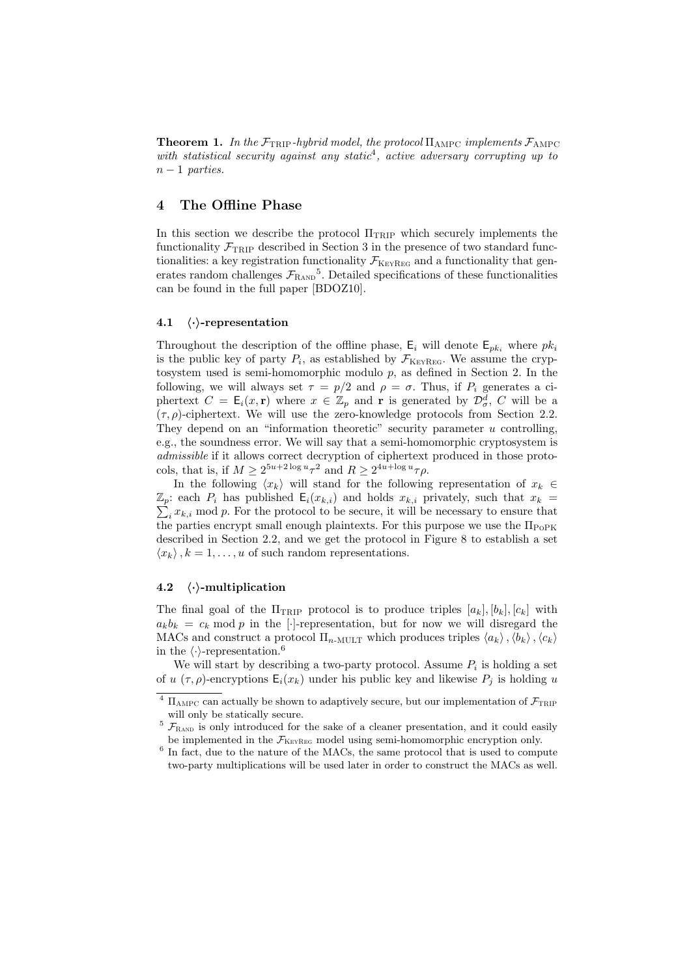**Theorem 1.** In the  $\mathcal{F}_{TRIP}$ -hybrid model, the protocol  $\Pi_{AMPC}$  implements  $\mathcal{F}_{AMPC}$ *with statistical security against any static*<sup>4</sup> *, active adversary corrupting up to n −* 1 *parties.*

# **4 The Offline Phase**

In this section we describe the protocol  $\Pi_{TRIP}$  which securely implements the functionality  $\mathcal{F}_{TRIP}$  described in Section 3 in the presence of two standard functionalities: a key registration functionality  $\mathcal{F}_{\textrm{KEYREG}}$  and a functionality that generates random challenges  $\mathcal{F}_{\text{RAND}}^5$ . Detailed specifications of these functionalities can be found in the full paper [BDOZ10].

# **4.1** *⟨·⟩***-representation**

Throughout the description of the offline phase,  $E_i$  will denote  $E_{pk_i}$  where  $pk_i$ is the public key of party  $P_i$ , as established by  $\mathcal{F}_{\text{KEYREG}}$ . We assume the cryptosystem used is semi-homomorphic modulo *p*, as defined in Section 2. In the following, we will always set  $\tau = p/2$  and  $\rho = \sigma$ . Thus, if  $P_i$  generates a ciphertext  $C = \mathsf{E}_i(x, \mathbf{r})$  where  $x \in \mathbb{Z}_p$  and  $\mathbf{r}$  is generated by  $\mathcal{D}^d_{\sigma}$ ,  $C$  will be a  $(\tau, \rho)$ -ciphertext. We will use the zero-knowledge protocols from Section 2.2. They depend on an "information theoretic" security parameter *u* controlling, e.g., the soundness error. We will say that a semi-homomorphic cryptosystem is *admissible* if it allows correct decryption of ciphertext produced in those protocols, that is, if  $M \ge 2^{5u+2\log u} \tau^2$  and  $R \ge 2^{4u+\log u} \tau \rho$ .

In the following  $\langle x_k \rangle$  will stand for the following representation of  $x_k \in$  $\mathbb{Z}_p$ : each  $P_i$  has published  $\mathsf{E}_i(x_{k,i})$  and holds  $x_{k,i}$  privately, such that  $x_k = \sum_i x_{k,i}$  mod p. For the protocol to be secure, it will be necessary to ensure that  $*x*<sub>k,i</sub>$  *mod <i>p*. For the protocol to be secure, it will be necessary to ensure that the parties encrypt small enough plaintexts. For this purpose we use the  $\Pi_{\rm PoPK}$ described in Section 2.2, and we get the protocol in Figure 8 to establish a set  $\langle x_k \rangle$ ,  $k = 1, \ldots, u$  of such random representations.

### **4.2** *⟨·⟩***-multiplication**

The final goal of the  $\Pi_{TRIP}$  protocol is to produce triples  $[a_k], [b_k], [c_k]$  with  $a_k b_k = c_k \mod p$  in the [*·*]-representation, but for now we will disregard the MACs and construct a protocol  $\Pi_{n\text{-}MULT}$  which produces triples  $\langle a_k \rangle$ ,  $\langle b_k \rangle$ ,  $\langle c_k \rangle$ in the *⟨·⟩*-representation.<sup>6</sup>

We will start by describing a two-party protocol. Assume  $P_i$  is holding a set of *u*  $(\tau, \rho)$ -encryptions  $\mathsf{E}_i(x_k)$  under his public key and likewise  $P_j$  is holding *u* 

 $^4$   $\Pi_\mathrm{AMPC}$  can actually be shown to adaptively secure, but our implementation of  $\mathcal{F}_\mathrm{TRIP}$ will only be statically secure.

 $5 \mathcal{F}_{\text{RAND}}$  is only introduced for the sake of a cleaner presentation, and it could easily be implemented in the  $\mathcal{F}_{\text{KEYREG}}$  model using semi-homomorphic encryption only.

<sup>&</sup>lt;sup>6</sup> In fact, due to the nature of the MACs, the same protocol that is used to compute two-party multiplications will be used later in order to construct the MACs as well.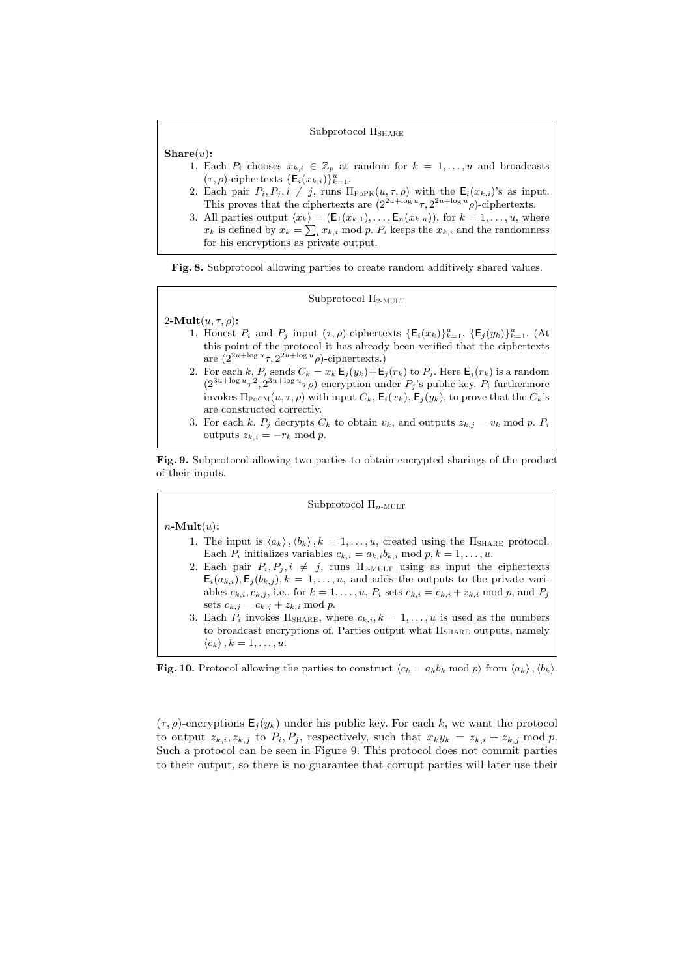### Subprotocol Π<sub>SHARE</sub>

**Share**(*u*)**:**

- 1. Each  $P_i$  chooses  $x_{k,i} \in \mathbb{Z}_p$  at random for  $k = 1, \ldots, u$  and broadcasts  $(\tau, \rho)$ -ciphertexts  $\{\mathsf{E}_i(x_{k,i})\}_{k=1}^u$ .
- 2. Each pair  $P_i, P_j, i \neq j$ , runs  $\Pi_{\text{PoPK}}(u, \tau, \rho)$  with the  $\mathsf{E}_i(x_{k,i})$ 's as input. This proves that the ciphertexts are  $(2^{2u + \log u}\tau, 2^{2u + \log u}\rho)$ -ciphertexts.
- 3. All parties output  $\langle x_k \rangle = (\mathsf{E}_1(x_{k,1}), \ldots, \mathsf{E}_n(x_{k,n}))$ , for  $k = 1, \ldots, u$ , where  $x_k$  is defined by  $x_k = \sum_i x_{k,i} \mod p$ .  $P_i$  keeps the  $x_{k,i}$  and the randomness for his encryptions as private output.

**Fig. 8.** Subprotocol allowing parties to create random additively shared values.

### Subprotocol  $\Pi_{2-MULT}$

2**-Mult**(*u, τ, ρ*)**:**

- 1. Honest  $P_i$  and  $P_j$  input  $(\tau, \rho)$ -ciphertexts  $\{\mathsf{E}_i(x_k)\}_{k=1}^u$ ,  $\{\mathsf{E}_j(y_k)\}_{k=1}^u$ . (At this point of the protocol it has already been verified that the ciphertexts are  $(2^{2u + \log u}\tau, 2^{2u + \log u}\rho)$ -ciphertexts.)
- 2. For each  $k$ ,  $P_i$  sends  $C_k = x_k \mathsf{E}_j(y_k) + \mathsf{E}_j(r_k)$  to  $P_j$ . Here  $\mathsf{E}_j(r_k)$  is a random  $(2^{3u + \log u}\tau^2, 2^{3u + \log u}\tau\rho)$ -encryption under  $P_j$ 's public key.  $P_i$  furthermore invokes  $\Pi_{\text{PoCM}}(u, \tau, \rho)$  with input  $C_k$ ,  $\mathsf{E}_i(x_k)$ ,  $\mathsf{E}_j(y_k)$ , to prove that the  $C_k$ 's are constructed correctly.
- 3. For each *k*,  $P_j$  decrypts  $C_k$  to obtain  $v_k$ , and outputs  $z_{k,j} = v_k \mod p$ .  $P_i$ outputs  $z_{k,i} = -r_k \mod p$ .

**Fig. 9.** Subprotocol allowing two parties to obtain encrypted sharings of the product of their inputs.

### Subprotocol Π*n*-MULT

### *n***-Mult**(*u*)**:**

- 1. The input is  $\langle a_k \rangle$ ,  $\langle b_k \rangle$ ,  $k = 1, \ldots, u$ , created using the  $\Pi_{\text{SHARE}}$  protocol. Each  $P_i$  initializes variables  $c_{k,i} = a_{k,i}b_{k,i} \mod p, k = 1, \ldots, u$ .
- 2. Each pair  $P_i, P_j, i \neq j$ , runs  $\Pi_{2-MULT}$  using as input the ciphertexts  $\mathsf{E}_i(a_{k,i}), \mathsf{E}_j(b_{k,j}), k = 1, \ldots, u$ , and adds the outputs to the private variables  $c_{k,i}, c_{k,j}$ , i.e., for  $k = 1, ..., u$ ,  $P_i$  sets  $c_{k,i} = c_{k,i} + z_{k,i} \mod p$ , and  $P_j$ sets  $c_{k,j} = c_{k,j} + z_{k,i} \mod p$ .
- 3. Each  $P_i$  invokes  $\Pi_{\text{SHARE}}$ , where  $c_{k,i}, k = 1, \ldots, u$  is used as the numbers to broadcast encryptions of. Parties output what  $\Pi_{\text{SHARE}}$  outputs, namely  $\langle c_k \rangle$ ,  $k = 1, \ldots, u$ .

### **Fig. 10.** Protocol allowing the parties to construct  $\langle c_k = a_k b_k \bmod p \rangle$  from  $\langle a_k \rangle$ ,  $\langle b_k \rangle$ .

 $(\tau, \rho)$ -encryptions  $\mathsf{E}_i(y_k)$  under his public key. For each *k*, we want the protocol to output  $z_{k,i}, z_{k,j}$  to  $P_i, P_j$ , respectively, such that  $x_k y_k = z_{k,i} + z_{k,j} \mod p$ . Such a protocol can be seen in Figure 9. This protocol does not commit parties to their output, so there is no guarantee that corrupt parties will later use their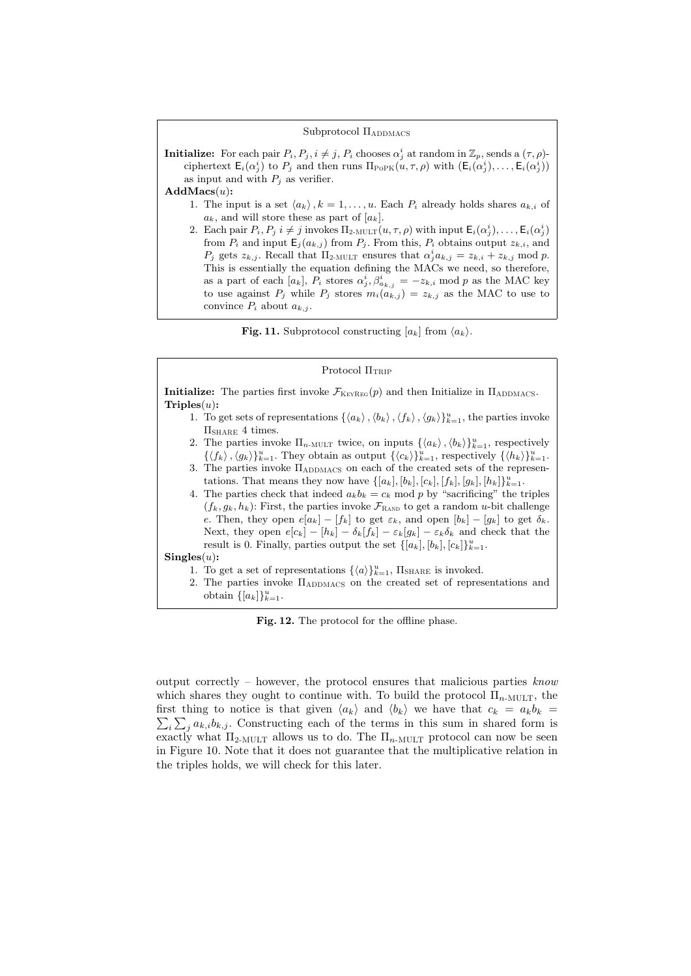## Subprotocol  $\Pi_{\mathrm{ADDMACS}}$

**Initialize:** For each pair  $P_i, P_j, i \neq j, P_i$  chooses  $\alpha_j^i$  at random in  $\mathbb{Z}_p$ , sends a  $(\tau, \rho)$ ciphertext  $\mathsf{E}_i(\alpha_j^i)$  to  $P_j$  and then runs  $\Pi_{\text{POPK}}(u, \tau, \rho)$  with  $(\mathsf{E}_i(\alpha_j^i), \ldots, \mathsf{E}_i(\alpha_j^i))$ as input and with  $P_j$  as verifier.

**AddMacs**(*u*)**:**

- 1. The input is a set  $\langle a_k \rangle$ ,  $k = 1, \ldots, u$ . Each  $P_i$  already holds shares  $a_{k,i}$  of  $a_k$ , and will store these as part of  $[a_k]$ .
- 2. Each pair  $P_i, P_j$   $i \neq j$  invokes  $\Pi_{2-MULT}(u, \tau, \rho)$  with input  $\mathsf{E}_i(\alpha_j^i), \ldots, \mathsf{E}_i(\alpha_j^i)$ from  $P_i$  and input  $\mathsf{E}_j(a_{k,j})$  from  $P_j$ . From this,  $P_i$  obtains output  $z_{k,i}$ , and *P*<sup>*j*</sup> gets  $z_{k,j}$ . Recall that  $\Pi_{2-MULT}$  ensures that  $\alpha_j^i a_{k,j} = z_{k,i} + z_{k,j} \text{ mod } p$ . This is essentially the equation defining the MACs we need, so therefore, as a part of each  $[a_k]$ ,  $P_i$  stores  $\alpha_j^i, \beta_{a_{k,j}}^i = -z_{k,i} \mod p$  as the MAC key to use against  $P_j$  while  $P_j$  stores  $m_i(a_{k,j}) = z_{k,j}$  as the MAC to use to convince  $P_i$  about  $a_{k,j}$ .

**Fig. 11.** Subprotocol constructing  $[a_k]$  from  $\langle a_k \rangle$ .

#### Protocol Π<sub>TRIF</sub>

**Initialize:** The parties first invoke  $\mathcal{F}_{\text{KEYREG}}(p)$  and then Initialize in  $\Pi_{\text{ADDMACS}}$ . **Triples**(*u*)**:**

- 1. To get sets of representations  $\{\langle a_k \rangle, \langle b_k \rangle, \langle f_k \rangle, \langle g_k \rangle\}_{k=1}^u$ , the parties invoke ΠSHARE 4 times.
	- 2. The parties invoke  $\Pi_{n\text{-MULT}}$  twice, on inputs  $\{\langle a_k \rangle, \langle b_k \rangle\}_{k=1}^u$ , respectively  $\{\langle f_k \rangle, \langle g_k \rangle\}_{k=1}^u$ . They obtain as output  $\{\langle c_k \rangle\}_{k=1}^u$ , respectively  $\{\langle h_k \rangle\}_{k=1}^u$ .
	- 3. The parties invoke  $\Pi_{\text{ADDMACS}}$  on each of the created sets of the representations. That means they now have  $\{[a_k], [b_k], [c_k], [f_k], [g_k], [h_k]\}_{k=1}^u$ .
	- 4. The parties check that indeed  $a_k b_k = c_k \mod p$  by "sacrificing" the triples  $(f_k, g_k, h_k)$ : First, the parties invoke  $\mathcal{F}_{\text{RAND}}$  to get a random *u*-bit challenge *e*. Then, they open  $e[a_k] - [f_k]$  to get  $\varepsilon_k$ , and open  $[b_k] - [g_k]$  to get  $\delta_k$ . Next, they open  $e[c_k] - [h_k] - \delta_k[f_k] - \varepsilon_k[g_k] - \varepsilon_k\delta_k$  and check that the result is 0. Finally, parties output the set  $\{[a_k], [b_k], [c_k]\}_{k=1}^u$ .

**Singles**(*u*)**:**

- 1. To get a set of representations  $\{\langle a \rangle\}_{k=1}^u$ ,  $\Pi_{\text{SHARE}}$  is invoked.
- 2. The parties invoke ΠADDMACS on the created set of representations and obtain  $\{[a_k]\}_{k=1}^u$ .

**Fig. 12.** The protocol for the offline phase.

output correctly – however, the protocol ensures that malicious parties *know* which shares they ought to continue with. To build the protocol  $\Pi_{n-MULT}$ , the  $\sum_i \sum_j a_{k,i} b_{k,j}$ . Constructing each of the terms in this sum in shared form is first thing to notice is that given  $\langle a_k \rangle$  and  $\langle b_k \rangle$  we have that  $c_k = a_k b_k =$ exactly what  $\Pi_{2-MULT}$  allows us to do. The  $\Pi_{n-MULT}$  protocol can now be seen in Figure 10. Note that it does not guarantee that the multiplicative relation in the triples holds, we will check for this later.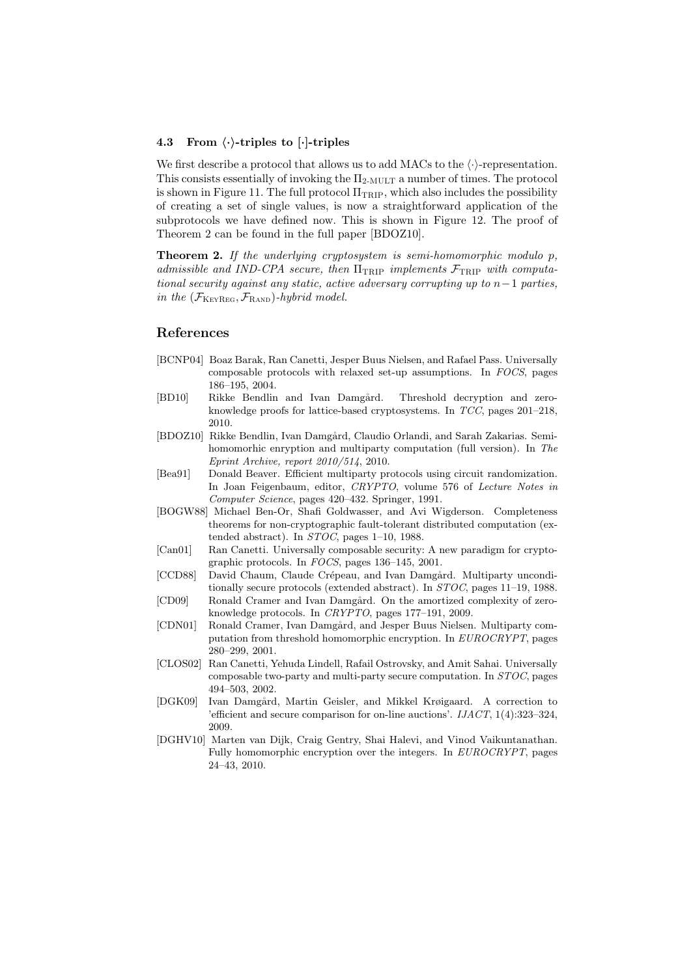### **4.3 From** *⟨·⟩***-triples to [***·***]-triples**

We first describe a protocol that allows us to add MACs to the *⟨·⟩*-representation. This consists essentially of invoking the  $\Pi_{2-MULT}$  a number of times. The protocol is shown in Figure 11. The full protocol  $\Pi_{TRIP}$ , which also includes the possibility of creating a set of single values, is now a straightforward application of the subprotocols we have defined now. This is shown in Figure 12. The proof of Theorem 2 can be found in the full paper [BDOZ10].

**Theorem 2.** *If the underlying cryptosystem is semi-homomorphic modulo p,*  $admissible \text{ and } IND-CPA \text{ secure}, \text{ then } \Pi_{TRIP} \text{ implements } \mathcal{F}_{TRIP} \text{ with computa$ *tional security against any static, active adversary corrupting up to n−*1 *parties, in the*  $(\mathcal{F}_{\text{KEYREG}}, \mathcal{F}_{\text{RAND}})$ *-hybrid model.* 

## **References**

- [BCNP04] Boaz Barak, Ran Canetti, Jesper Buus Nielsen, and Rafael Pass. Universally composable protocols with relaxed set-up assumptions. In *FOCS*, pages 186–195, 2004.
- [BD10] Rikke Bendlin and Ivan Damgård. Threshold decryption and zeroknowledge proofs for lattice-based cryptosystems. In *TCC*, pages 201–218, 2010.
- [BDOZ10] Rikke Bendlin, Ivan Damgård, Claudio Orlandi, and Sarah Zakarias. Semihomomorhic enryption and multiparty computation (full version). In *The Eprint Archive, report 2010/514*, 2010.
- [Bea91] Donald Beaver. Efficient multiparty protocols using circuit randomization. In Joan Feigenbaum, editor, *CRYPTO*, volume 576 of *Lecture Notes in Computer Science*, pages 420–432. Springer, 1991.
- [BOGW88] Michael Ben-Or, Shafi Goldwasser, and Avi Wigderson. Completeness theorems for non-cryptographic fault-tolerant distributed computation (extended abstract). In *STOC*, pages 1–10, 1988.
- [Can01] Ran Canetti. Universally composable security: A new paradigm for cryptographic protocols. In *FOCS*, pages 136–145, 2001.
- [CCD88] David Chaum, Claude Crépeau, and Ivan Damgård. Multiparty unconditionally secure protocols (extended abstract). In *STOC*, pages 11–19, 1988.
- [CD09] Ronald Cramer and Ivan Damgård. On the amortized complexity of zeroknowledge protocols. In *CRYPTO*, pages 177–191, 2009.
- [CDN01] Ronald Cramer, Ivan Damgård, and Jesper Buus Nielsen. Multiparty computation from threshold homomorphic encryption. In *EUROCRYPT*, pages 280–299, 2001.
- [CLOS02] Ran Canetti, Yehuda Lindell, Rafail Ostrovsky, and Amit Sahai. Universally composable two-party and multi-party secure computation. In *STOC*, pages 494–503, 2002.
- [DGK09] Ivan Damgård, Martin Geisler, and Mikkel Krøigaard. A correction to 'efficient and secure comparison for on-line auctions'. *IJACT*, 1(4):323–324, 2009.
- [DGHV10] Marten van Dijk, Craig Gentry, Shai Halevi, and Vinod Vaikuntanathan. Fully homomorphic encryption over the integers. In *EUROCRYPT*, pages 24–43, 2010.